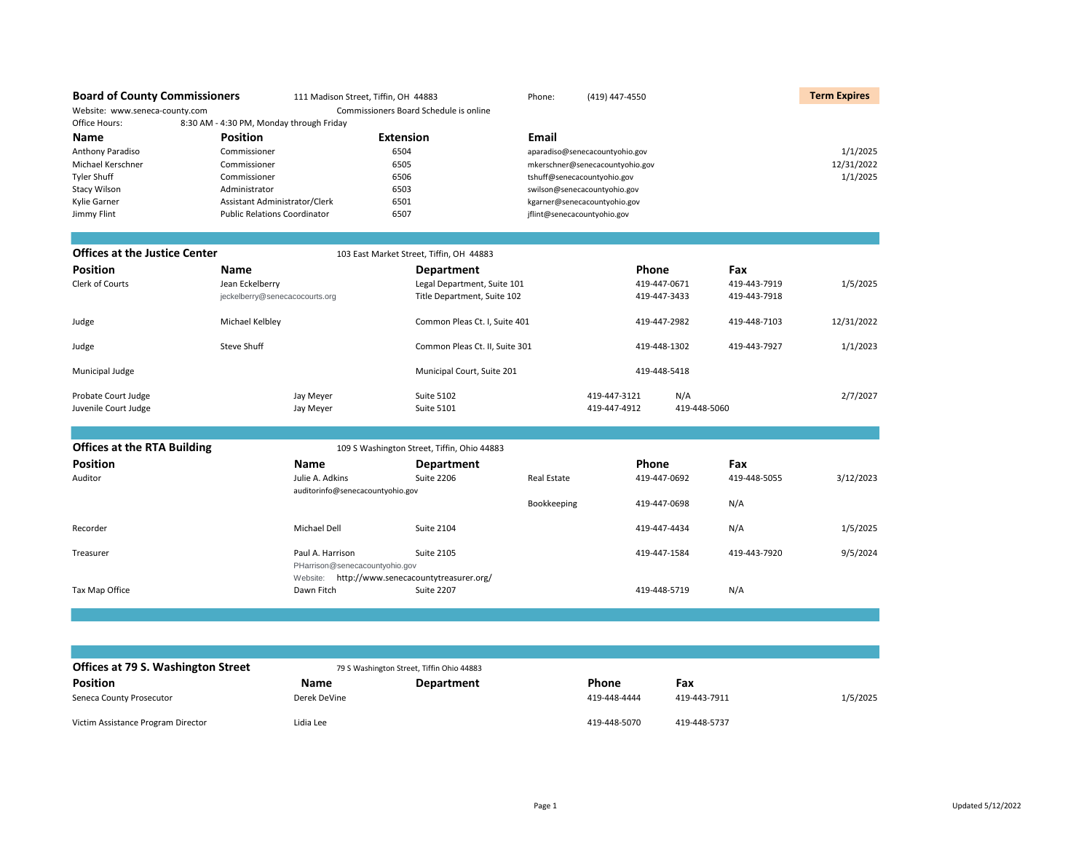| <b>Board of County Commissioners</b> |                                          | 111 Madison Street, Tiffin, OH 44883 |                                             | Phone:                      | (419) 447-4550                  |              |              | <b>Term Expires</b> |
|--------------------------------------|------------------------------------------|--------------------------------------|---------------------------------------------|-----------------------------|---------------------------------|--------------|--------------|---------------------|
| Website: www.seneca-county.com       |                                          |                                      | Commissioners Board Schedule is online      |                             |                                 |              |              |                     |
| Office Hours:                        | 8:30 AM - 4:30 PM, Monday through Friday |                                      |                                             |                             |                                 |              |              |                     |
| Name                                 | <b>Position</b>                          | <b>Extension</b>                     |                                             | Email                       |                                 |              |              |                     |
| Anthony Paradiso                     | Commissioner                             | 6504                                 |                                             |                             | aparadiso@senecacountyohio.gov  |              |              | 1/1/2025            |
| Michael Kerschner                    | Commissioner                             | 6505                                 |                                             |                             | mkerschner@senecacountyohio.gov |              |              | 12/31/2022          |
| <b>Tyler Shuff</b>                   | Commissioner                             | 6506                                 |                                             |                             | tshuff@senecacountyohio.gov     |              |              | 1/1/2025            |
| <b>Stacy Wilson</b>                  | Administrator                            | 6503                                 |                                             |                             | swilson@senecacountyohio.gov    |              |              |                     |
| Kylie Garner                         | Assistant Administrator/Clerk            | 6501                                 |                                             |                             | kgarner@senecacountyohio.gov    |              |              |                     |
| Jimmy Flint                          | <b>Public Relations Coordinator</b>      | 6507                                 |                                             | jflint@senecacountyohio.gov |                                 |              |              |                     |
|                                      |                                          |                                      |                                             |                             |                                 |              |              |                     |
| <b>Offices at the Justice Center</b> |                                          |                                      | 103 East Market Street, Tiffin, OH 44883    |                             |                                 |              |              |                     |
| <b>Position</b>                      | <b>Name</b>                              |                                      | <b>Department</b>                           |                             | Phone                           |              | Fax          |                     |
| Clerk of Courts                      | Jean Eckelberry                          |                                      | Legal Department, Suite 101                 |                             | 419-447-0671                    |              | 419-443-7919 | 1/5/2025            |
|                                      | jeckelberry@senecacocourts.org           |                                      | Title Department, Suite 102                 |                             | 419-447-3433                    |              | 419-443-7918 |                     |
| Judge                                | Michael Kelbley                          |                                      | Common Pleas Ct. I, Suite 401               |                             |                                 | 419-447-2982 | 419-448-7103 | 12/31/2022          |
| Judge                                | Steve Shuff                              |                                      | Common Pleas Ct. II, Suite 301              |                             |                                 | 419-448-1302 | 419-443-7927 | 1/1/2023            |
| Municipal Judge                      |                                          |                                      | Municipal Court, Suite 201                  |                             |                                 | 419-448-5418 |              |                     |
| Probate Court Judge                  | Jay Meyer                                |                                      | <b>Suite 5102</b>                           |                             | 419-447-3121                    | N/A          |              | 2/7/2027            |
| Juvenile Court Judge                 | Jay Meyer                                |                                      | <b>Suite 5101</b>                           |                             | 419-447-4912                    | 419-448-5060 |              |                     |
|                                      |                                          |                                      |                                             |                             |                                 |              |              |                     |
| <b>Offices at the RTA Building</b>   |                                          |                                      | 109 S Washington Street, Tiffin, Ohio 44883 |                             |                                 |              |              |                     |
| <b>Position</b>                      | <b>Name</b>                              |                                      | <b>Department</b>                           |                             | Phone                           |              | Fax          |                     |
| Auditor                              |                                          | Julie A. Adkins                      | <b>Suite 2206</b>                           | <b>Real Estate</b>          |                                 | 419-447-0692 | 419-448-5055 | 3/12/2023           |
|                                      |                                          | auditorinfo@senecacountyohio.gov     |                                             |                             |                                 |              |              |                     |
|                                      |                                          |                                      |                                             | Bookkeeping                 |                                 | 419-447-0698 | N/A          |                     |
| Recorder                             |                                          | Michael Dell                         | <b>Suite 2104</b>                           |                             |                                 | 419-447-4434 | N/A          | 1/5/2025            |
| Treasurer                            |                                          | Paul A. Harrison                     | <b>Suite 2105</b>                           |                             |                                 | 419-447-1584 | 419-443-7920 | 9/5/2024            |
|                                      |                                          | PHarrison@senecacountyohio.gov       |                                             |                             |                                 |              |              |                     |
|                                      | Website:                                 |                                      | http://www.senecacountytreasurer.org/       |                             |                                 |              |              |                     |
| Tax Map Office                       |                                          | Dawn Fitch                           | <b>Suite 2207</b>                           |                             |                                 | 419-448-5719 | N/A          |                     |
|                                      |                                          |                                      |                                             |                             |                                 |              |              |                     |
|                                      |                                          |                                      |                                             |                             |                                 |              |              |                     |
|                                      |                                          |                                      |                                             |                             |                                 |              |              |                     |
|                                      |                                          |                                      |                                             |                             |                                 |              |              |                     |

| Offices at 79 S. Washington Street |              | 79 S Washington Street, Tiffin Ohio 44883 |              |              |          |
|------------------------------------|--------------|-------------------------------------------|--------------|--------------|----------|
| <b>Position</b>                    | Name         | <b>Department</b>                         | Phone        | Fax          |          |
| Seneca County Prosecutor           | Derek DeVine |                                           | 419-448-4444 | 419-443-7911 | 1/5/2025 |
| Victim Assistance Program Director | Lidia Lee    |                                           | 419-448-5070 | 419-448-5737 |          |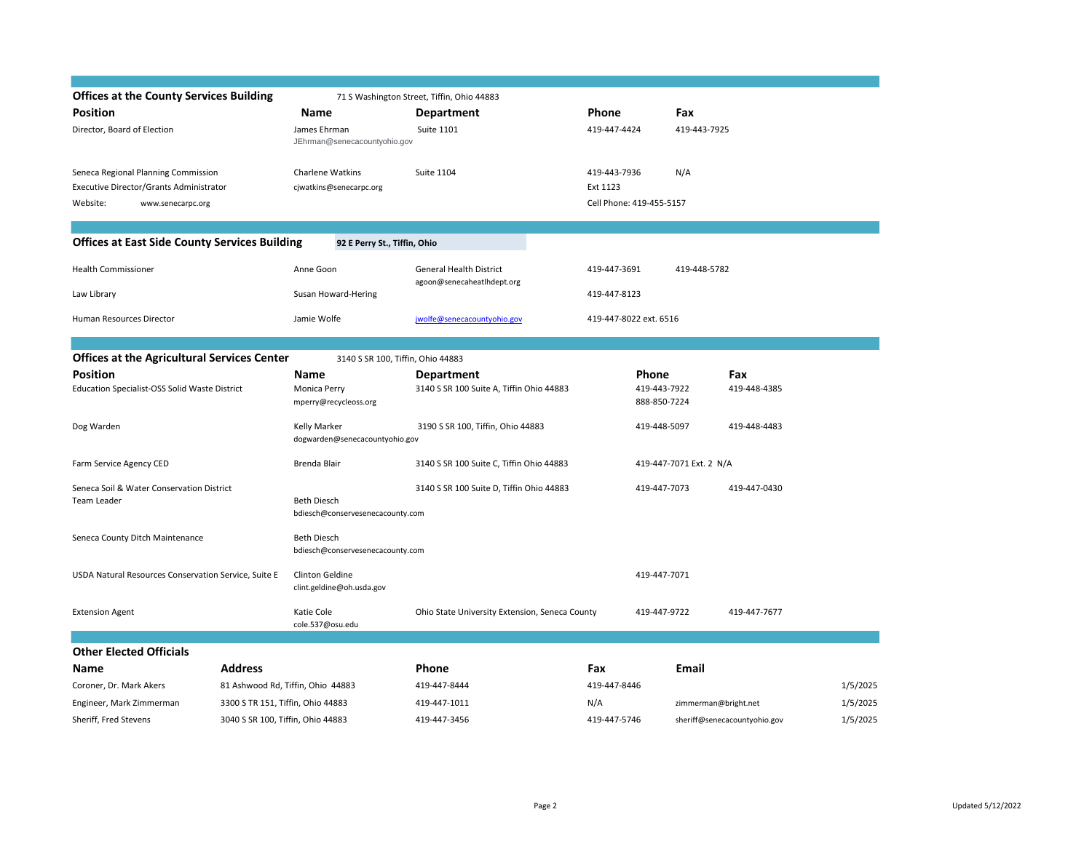| <b>Offices at the County Services Building</b>       |                                   |                                                        | 71 S Washington Street, Tiffin, Ohio 44883     |                          |                              |                              |          |
|------------------------------------------------------|-----------------------------------|--------------------------------------------------------|------------------------------------------------|--------------------------|------------------------------|------------------------------|----------|
| <b>Position</b>                                      |                                   | Name                                                   | <b>Department</b>                              | Phone                    | Fax                          |                              |          |
| Director, Board of Election                          |                                   | James Ehrman<br>JEhrman@senecacountyohio.gov           | <b>Suite 1101</b>                              | 419-447-4424             | 419-443-7925                 |                              |          |
| Seneca Regional Planning Commission                  |                                   | Charlene Watkins                                       | <b>Suite 1104</b>                              | 419-443-7936             | N/A                          |                              |          |
| Executive Director/Grants Administrator              |                                   | cjwatkins@senecarpc.org                                |                                                | Ext 1123                 |                              |                              |          |
| Website:<br>www.senecarpc.org                        |                                   |                                                        |                                                | Cell Phone: 419-455-5157 |                              |                              |          |
|                                                      |                                   |                                                        |                                                |                          |                              |                              |          |
| <b>Offices at East Side County Services Building</b> |                                   | 92 E Perry St., Tiffin, Ohio                           |                                                |                          |                              |                              |          |
| <b>Health Commissioner</b>                           |                                   | Anne Goon                                              | <b>General Health District</b>                 | 419-447-3691             | 419-448-5782                 |                              |          |
| Law Library                                          |                                   | Susan Howard-Hering                                    | agoon@senecaheatlhdept.org                     | 419-447-8123             |                              |                              |          |
| Human Resources Director                             |                                   | Jamie Wolfe                                            | jwolfe@senecacountyohio.gov                    | 419-447-8022 ext. 6516   |                              |                              |          |
|                                                      |                                   |                                                        |                                                |                          |                              |                              |          |
| <b>Offices at the Agricultural Services Center</b>   |                                   | 3140 S SR 100, Tiffin, Ohio 44883                      |                                                |                          |                              |                              |          |
| <b>Position</b>                                      |                                   | Name                                                   | <b>Department</b>                              | Phone                    |                              | Fax                          |          |
| <b>Education Specialist-OSS Solid Waste District</b> |                                   | Monica Perry<br>mperry@recycleoss.org                  | 3140 S SR 100 Suite A, Tiffin Ohio 44883       |                          | 419-443-7922<br>888-850-7224 | 419-448-4385                 |          |
| Dog Warden                                           |                                   | Kelly Marker<br>dogwarden@senecacountyohio.gov         | 3190 S SR 100, Tiffin, Ohio 44883              |                          | 419-448-5097                 | 419-448-4483                 |          |
| Farm Service Agency CED                              |                                   | Brenda Blair                                           | 3140 S SR 100 Suite C, Tiffin Ohio 44883       |                          | 419-447-7071 Ext. 2 N/A      |                              |          |
| Seneca Soil & Water Conservation District            |                                   |                                                        | 3140 S SR 100 Suite D, Tiffin Ohio 44883       |                          | 419-447-7073                 | 419-447-0430                 |          |
| <b>Team Leader</b>                                   |                                   | <b>Beth Diesch</b><br>bdiesch@conservesenecacounty.com |                                                |                          |                              |                              |          |
| Seneca County Ditch Maintenance                      |                                   | <b>Beth Diesch</b>                                     |                                                |                          |                              |                              |          |
|                                                      |                                   | bdiesch@conservesenecacounty.com                       |                                                |                          |                              |                              |          |
| USDA Natural Resources Conservation Service, Suite E |                                   | Clinton Geldine<br>clint.geldine@oh.usda.gov           |                                                |                          | 419-447-7071                 |                              |          |
| <b>Extension Agent</b>                               |                                   | Katie Cole<br>cole.537@osu.edu                         | Ohio State University Extension, Seneca County |                          | 419-447-9722                 | 419-447-7677                 |          |
|                                                      |                                   |                                                        |                                                |                          |                              |                              |          |
| <b>Other Elected Officials</b>                       |                                   |                                                        |                                                |                          |                              |                              |          |
| Name                                                 | <b>Address</b>                    |                                                        | Phone                                          | Fax                      | <b>Email</b>                 |                              |          |
| Coroner, Dr. Mark Akers                              |                                   | 81 Ashwood Rd, Tiffin, Ohio 44883                      | 419-447-8444                                   | 419-447-8446             |                              |                              | 1/5/2025 |
| Engineer, Mark Zimmerman                             | 3300 S TR 151, Tiffin, Ohio 44883 |                                                        | 419-447-1011                                   | N/A                      | zimmerman@bright.net         |                              | 1/5/2025 |
| Sheriff, Fred Stevens                                | 3040 S SR 100, Tiffin, Ohio 44883 |                                                        | 419-447-3456                                   | 419-447-5746             |                              | sheriff@senecacountyohio.gov | 1/5/2025 |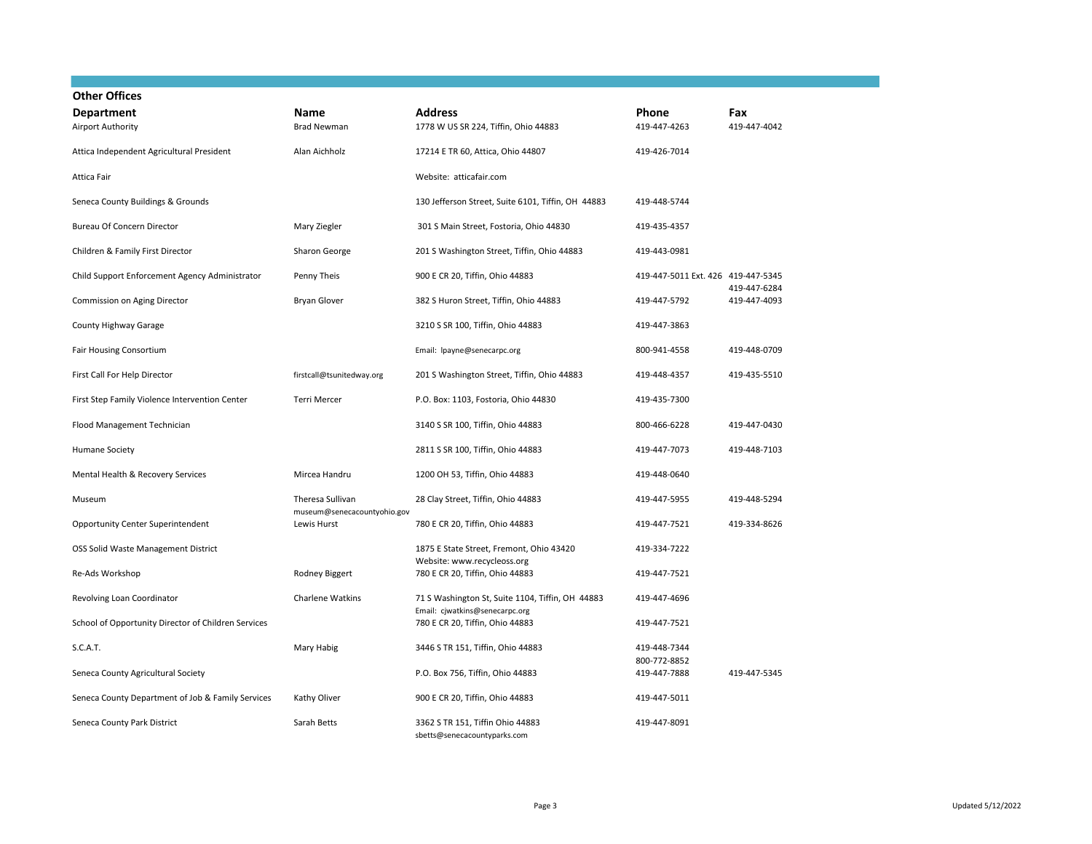| <b>Other Offices</b>                                |                                                 |                                                                                    |                                    |              |
|-----------------------------------------------------|-------------------------------------------------|------------------------------------------------------------------------------------|------------------------------------|--------------|
| <b>Department</b>                                   | Name                                            | <b>Address</b>                                                                     | Phone                              | Fax          |
| Airport Authority                                   | <b>Brad Newman</b>                              | 1778 W US SR 224, Tiffin, Ohio 44883                                               | 419-447-4263                       | 419-447-4042 |
| Attica Independent Agricultural President           | Alan Aichholz                                   | 17214 E TR 60, Attica, Ohio 44807                                                  | 419-426-7014                       |              |
| Attica Fair                                         |                                                 | Website: atticafair.com                                                            |                                    |              |
| Seneca County Buildings & Grounds                   |                                                 | 130 Jefferson Street, Suite 6101, Tiffin, OH 44883                                 | 419-448-5744                       |              |
| <b>Bureau Of Concern Director</b>                   | Mary Ziegler                                    | 301 S Main Street, Fostoria, Ohio 44830                                            | 419-435-4357                       |              |
| Children & Family First Director                    | Sharon George                                   | 201 S Washington Street, Tiffin, Ohio 44883                                        | 419-443-0981                       |              |
| Child Support Enforcement Agency Administrator      | Penny Theis                                     | 900 E CR 20, Tiffin, Ohio 44883                                                    | 419-447-5011 Ext. 426 419-447-5345 | 419-447-6284 |
| Commission on Aging Director                        | <b>Bryan Glover</b>                             | 382 S Huron Street, Tiffin, Ohio 44883                                             | 419-447-5792                       | 419-447-4093 |
| County Highway Garage                               |                                                 | 3210 S SR 100, Tiffin, Ohio 44883                                                  | 419-447-3863                       |              |
| Fair Housing Consortium                             |                                                 | Email: Ipayne@senecarpc.org                                                        | 800-941-4558                       | 419-448-0709 |
| First Call For Help Director                        | firstcall@tsunitedway.org                       | 201 S Washington Street, Tiffin, Ohio 44883                                        | 419-448-4357                       | 419-435-5510 |
| First Step Family Violence Intervention Center      | Terri Mercer                                    | P.O. Box: 1103, Fostoria, Ohio 44830                                               | 419-435-7300                       |              |
| Flood Management Technician                         |                                                 | 3140 S SR 100, Tiffin, Ohio 44883                                                  | 800-466-6228                       | 419-447-0430 |
| <b>Humane Society</b>                               |                                                 | 2811 S SR 100, Tiffin, Ohio 44883                                                  | 419-447-7073                       | 419-448-7103 |
| Mental Health & Recovery Services                   | Mircea Handru                                   | 1200 OH 53, Tiffin, Ohio 44883                                                     | 419-448-0640                       |              |
| Museum                                              | Theresa Sullivan<br>museum@senecacountyohio.gov | 28 Clay Street, Tiffin, Ohio 44883                                                 | 419-447-5955                       | 419-448-5294 |
| Opportunity Center Superintendent                   | Lewis Hurst                                     | 780 E CR 20, Tiffin, Ohio 44883                                                    | 419-447-7521                       | 419-334-8626 |
| OSS Solid Waste Management District                 |                                                 | 1875 E State Street, Fremont, Ohio 43420<br>Website: www.recycleoss.org            | 419-334-7222                       |              |
| Re-Ads Workshop                                     | Rodney Biggert                                  | 780 E CR 20, Tiffin, Ohio 44883                                                    | 419-447-7521                       |              |
| Revolving Loan Coordinator                          | Charlene Watkins                                | 71 S Washington St, Suite 1104, Tiffin, OH 44883<br>Email: cjwatkins@senecarpc.org | 419-447-4696                       |              |
| School of Opportunity Director of Children Services |                                                 | 780 E CR 20, Tiffin, Ohio 44883                                                    | 419-447-7521                       |              |
| S.C.A.T.                                            | Mary Habig                                      | 3446 S TR 151, Tiffin, Ohio 44883                                                  | 419-448-7344<br>800-772-8852       |              |
| Seneca County Agricultural Society                  |                                                 | P.O. Box 756, Tiffin, Ohio 44883                                                   | 419-447-7888                       | 419-447-5345 |
| Seneca County Department of Job & Family Services   | Kathy Oliver                                    | 900 E CR 20, Tiffin, Ohio 44883                                                    | 419-447-5011                       |              |
| Seneca County Park District                         | Sarah Betts                                     | 3362 S TR 151, Tiffin Ohio 44883<br>sbetts@senecacountyparks.com                   | 419-447-8091                       |              |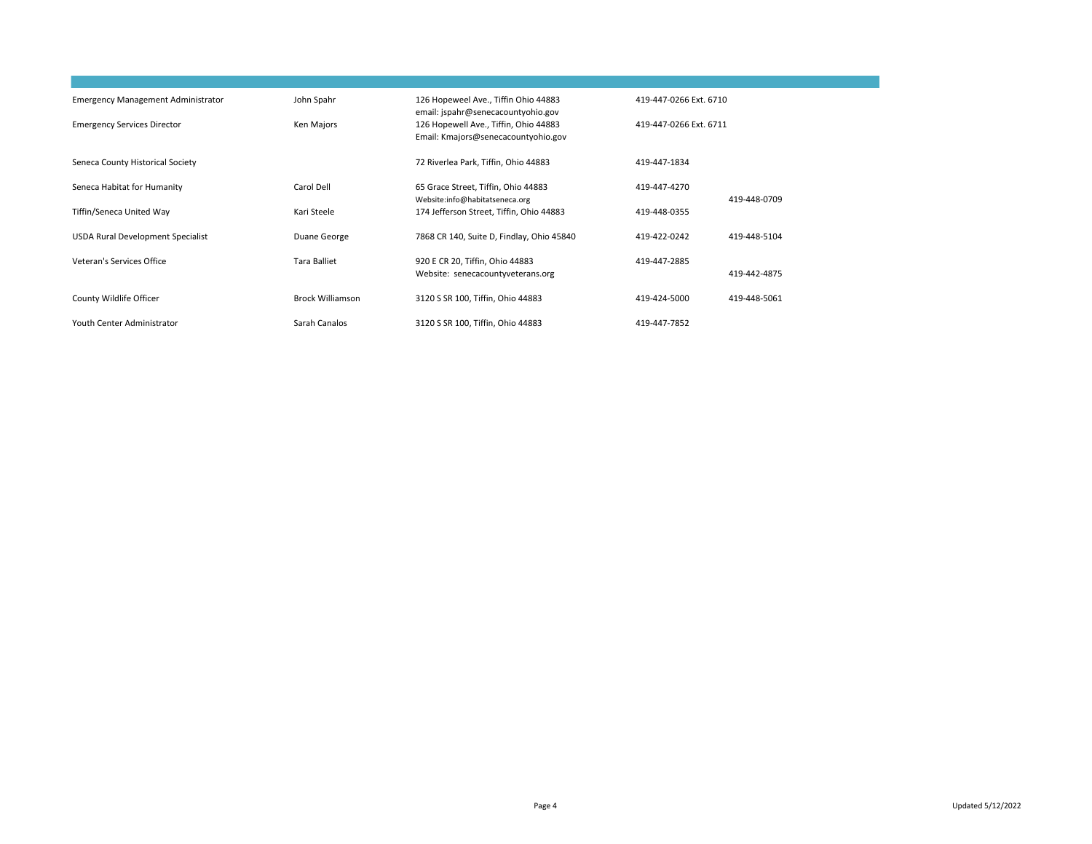| <b>Emergency Management Administrator</b><br><b>Emergency Services Director</b> | John Spahr<br>Ken Majors | 126 Hopeweel Ave., Tiffin Ohio 44883<br>email: jspahr@senecacountyohio.gov<br>126 Hopewell Ave., Tiffin, Ohio 44883 | 419-447-0266 Ext. 6710<br>419-447-0266 Ext. 6711 |              |
|---------------------------------------------------------------------------------|--------------------------|---------------------------------------------------------------------------------------------------------------------|--------------------------------------------------|--------------|
| Seneca County Historical Society                                                |                          | Email: Kmajors@senecacountyohio.gov<br>72 Riverlea Park, Tiffin, Ohio 44883                                         | 419-447-1834                                     |              |
| Seneca Habitat for Humanity                                                     | Carol Dell               | 65 Grace Street, Tiffin, Ohio 44883                                                                                 | 419-447-4270                                     |              |
| Tiffin/Seneca United Way                                                        | Kari Steele              | Website:info@habitatseneca.org<br>174 Jefferson Street, Tiffin, Ohio 44883                                          | 419-448-0355                                     | 419-448-0709 |
| <b>USDA Rural Development Specialist</b>                                        | Duane George             | 7868 CR 140, Suite D, Findlay, Ohio 45840                                                                           | 419-422-0242                                     | 419-448-5104 |
| Veteran's Services Office                                                       | <b>Tara Balliet</b>      | 920 E CR 20, Tiffin, Ohio 44883<br>Website: senecacountyveterans.org                                                | 419-447-2885                                     | 419-442-4875 |
| County Wildlife Officer                                                         | <b>Brock Williamson</b>  | 3120 S SR 100, Tiffin, Ohio 44883                                                                                   | 419-424-5000                                     | 419-448-5061 |
| Youth Center Administrator                                                      | Sarah Canalos            | 3120 S SR 100, Tiffin, Ohio 44883                                                                                   | 419-447-7852                                     |              |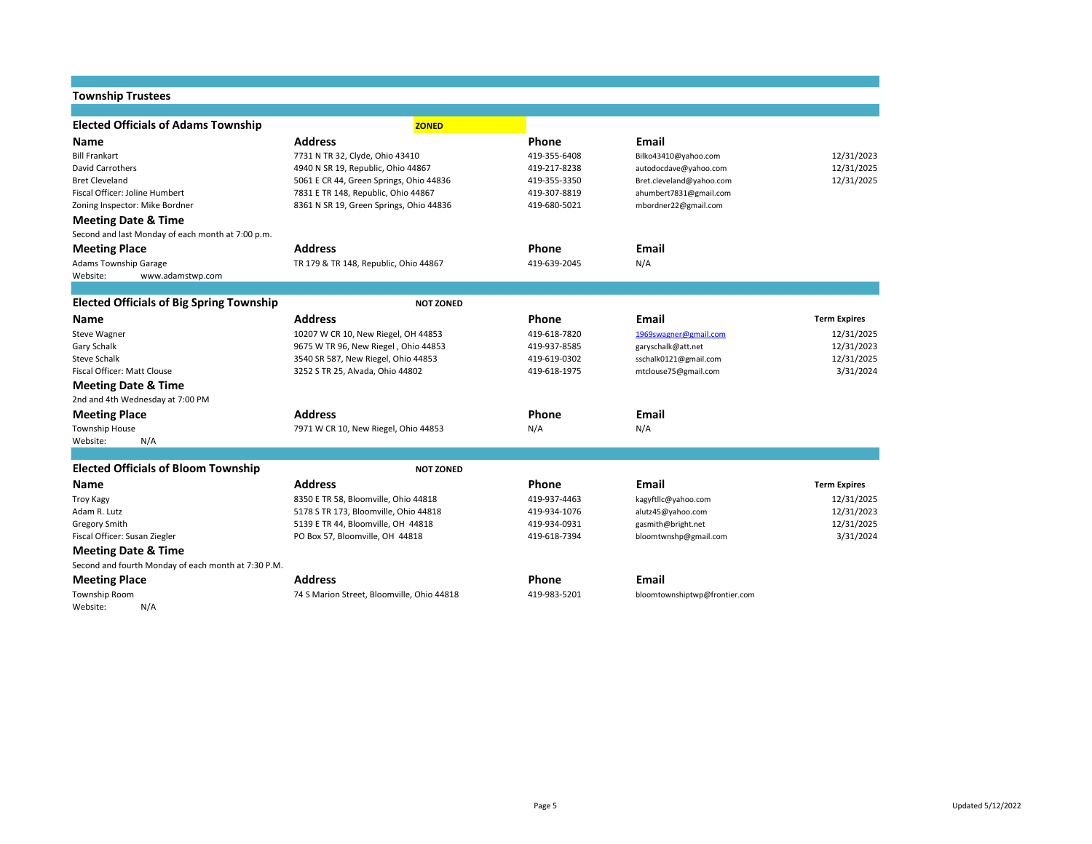### **Township Trustees Elected Officials of Adams Township ZONED Name Address Phone Email** Bill Frankart 1988 12/31/2023 1731 N TR 32, Clyde, Ohio 43410 419-355-6408 [Bilko43410@yahoo.com](mailto:Bilko43410@yahoo.com) 12/31/2023 David Carrothers **12/31/2025** 4940 N SR 19, Republic, Ohio 44867 419-217-8238 autodocdave@yahoo.com 12/31/2025 Bret Cleveland 5061 E CR 44, Green Springs, Ohio 44836 419-355-3350 [Bret.cleveland@yahoo.com](mailto:Bret.cleveland@yahoo.com) 12/31/2025 Fiscal Officer: Joline Humbert 7831 E TR 148, Republic, Ohio 44867 419-307-8819 ahumbert7831@gmail.com Zoning Inspector: Mike Bordner 8361 N SR 19, Green Springs, Ohio 44836 419-680-5021 mbordner22@gmail.com **Meeting Date & Time** Second and last Monday of each month at 7:00 p.m. **Meeting Place Address Phone Email** Adams Township Garage TR 179 & TR 179 & TR 148, Republic, Ohio 44867 419-639-2045 N/A Website: www.adamstwp.com **Elected Officials of Big Spring Township <b>ACC** NOT ZONED **Name Address Phone Email Term Expires** Steve Wagner 10207 W CR 10, New Riegel, OH 44853 419-618-7820 [1969swagner@gmail.com](mailto:1969swagner@gmail.com) 12/31/2025 Gary Schalk **12/31/2023** 9675 W TR 96, New Riegel , Ohio 44853 419-937-8585 garyschalk@att.net 12/31/2023 Steve Schalk 3540 SR 587, New Riegel, Ohio 44853 419-619-0302 sschalk0121@gmail.com 12/31/2025 Fiscal Officer: Matt Clouse 3252 S TR 25, Alvada, Ohio 44802 419-618-1975 mtclouse75@gmail.com 3/31/2024 **Meeting Date & Time** 2nd and 4th Wednesday at 7:00 PM **Meeting Place Address Phone Email** Township House **7971 W CR 10, New Riegel, Ohio 44853** N/A N/A N/A Website: N/A **Elected Officials of Bloom Township <b>ACC** *NOT ZONED* **Name Address Phone Email Term Expires** Troy Kagy **8350 E TR 58, Bloomville, Ohio 44818** 419-937-4463 kagyftllc@yahoo.com 12/31/2025 Adam R. Lutz **12/31/2023** 5178 S TR 173, Bloomville, Ohio 44818 419-934-1076 alutz45@yahoo.com and the summan and the summan and the summan series of the summan series of the summan series of the summan series of the summa Gregory Smith 5139 E TR 44, Bloomville, OH 44818 419-934-0931 gasmith@bright.net Fiscal Officer: Susan Ziegler **PO Box 57, Bloomville, OH 44818** 419-618-7394 bloomtwnshp@gmail.com 3/31/2024 3/31/2024 **Meeting Date & Time** Second and fourth Monday of each month at 7:30 P.M. **Meeting Place And Email Address Address Phone Phone Email Phone Email Address Phone Phone Email Email Email Phone Phone Phone Email Phone Phone Phone Phone Phone Phone Pho** Township Room 74 S Marion Street, Bloomville, Ohio 44818 419-983-5201 bloomtownshiptwp@frontier.com Website: N/A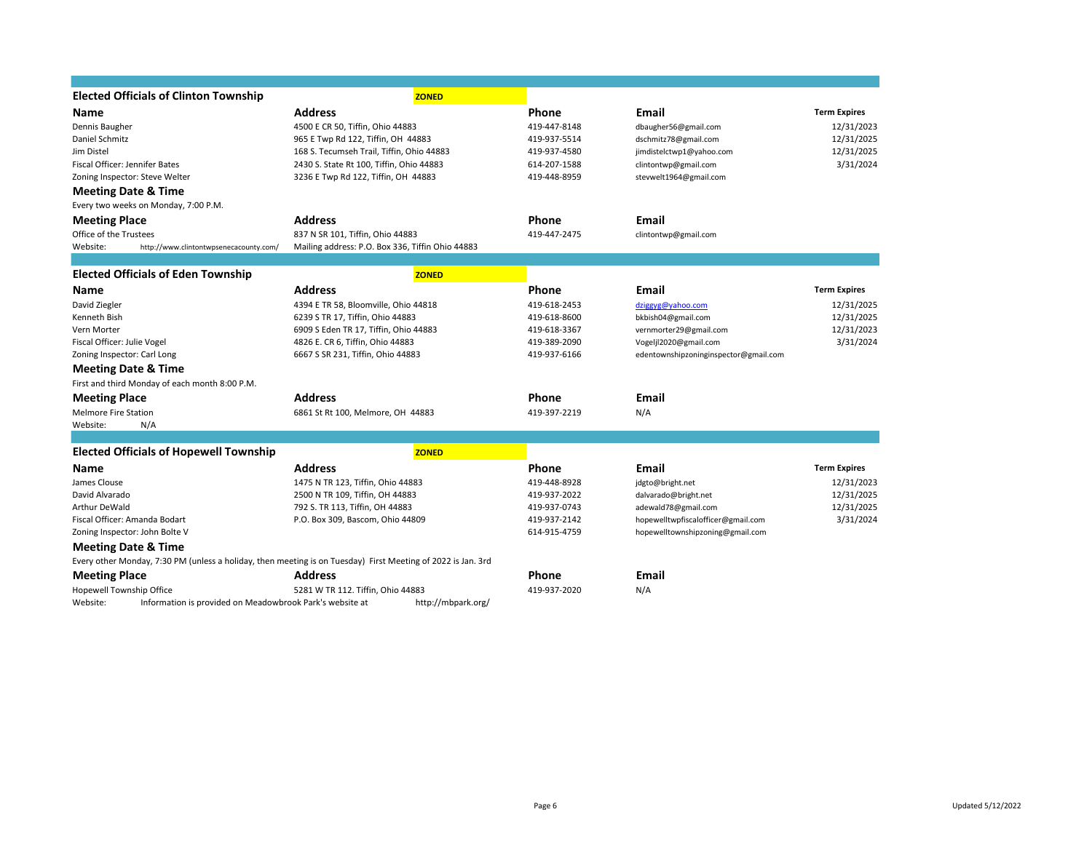| <b>Elected Officials of Clinton Township</b>                                                                 | <b>ZONED</b>                                     |              |                                       |                     |
|--------------------------------------------------------------------------------------------------------------|--------------------------------------------------|--------------|---------------------------------------|---------------------|
| Name                                                                                                         | <b>Address</b>                                   | Phone        | <b>Email</b>                          | <b>Term Expires</b> |
| Dennis Baugher                                                                                               | 4500 E CR 50, Tiffin, Ohio 44883                 | 419-447-8148 | dbaugher56@gmail.com                  | 12/31/2023          |
| Daniel Schmitz                                                                                               | 965 E Twp Rd 122, Tiffin, OH 44883               | 419-937-5514 | dschmitz78@gmail.com                  | 12/31/2025          |
| Jim Distel                                                                                                   | 168 S. Tecumseh Trail, Tiffin, Ohio 44883        | 419-937-4580 | jimdistelctwp1@yahoo.com              | 12/31/2025          |
| Fiscal Officer: Jennifer Bates                                                                               | 2430 S. State Rt 100, Tiffin, Ohio 44883         | 614-207-1588 | clintontwp@gmail.com                  | 3/31/2024           |
| Zoning Inspector: Steve Welter                                                                               | 3236 E Twp Rd 122, Tiffin, OH 44883              | 419-448-8959 | stevwelt1964@gmail.com                |                     |
| <b>Meeting Date &amp; Time</b>                                                                               |                                                  |              |                                       |                     |
| Every two weeks on Monday, 7:00 P.M.                                                                         |                                                  |              |                                       |                     |
| <b>Meeting Place</b>                                                                                         | <b>Address</b>                                   | Phone        | Email                                 |                     |
| Office of the Trustees                                                                                       | 837 N SR 101, Tiffin, Ohio 44883                 | 419-447-2475 | clintontwp@gmail.com                  |                     |
| Website:<br>http://www.clintontwpsenecacounty.com/                                                           | Mailing address: P.O. Box 336, Tiffin Ohio 44883 |              |                                       |                     |
|                                                                                                              |                                                  |              |                                       |                     |
| <b>Elected Officials of Eden Township</b>                                                                    | <b>ZONED</b>                                     |              |                                       |                     |
| Name                                                                                                         | <b>Address</b>                                   | Phone        | Email                                 | <b>Term Expires</b> |
| David Ziegler                                                                                                | 4394 E TR 58, Bloomville, Ohio 44818             | 419-618-2453 | dziggyg@yahoo.com                     | 12/31/2025          |
| Kenneth Bish                                                                                                 | 6239 S TR 17, Tiffin, Ohio 44883                 | 419-618-8600 | bkbish04@gmail.com                    | 12/31/2025          |
| Vern Morter                                                                                                  | 6909 S Eden TR 17, Tiffin, Ohio 44883            | 419-618-3367 | vernmorter29@gmail.com                | 12/31/2023          |
| Fiscal Officer: Julie Vogel                                                                                  | 4826 E. CR 6, Tiffin, Ohio 44883                 | 419-389-2090 | Vogeljl2020@gmail.com                 | 3/31/2024           |
| Zoning Inspector: Carl Long                                                                                  | 6667 S SR 231, Tiffin, Ohio 44883                | 419-937-6166 | edentownshipzoninginspector@gmail.com |                     |
| <b>Meeting Date &amp; Time</b>                                                                               |                                                  |              |                                       |                     |
| First and third Monday of each month 8:00 P.M.                                                               |                                                  |              |                                       |                     |
| <b>Meeting Place</b>                                                                                         | <b>Address</b>                                   | Phone        | Email                                 |                     |
| <b>Melmore Fire Station</b>                                                                                  | 6861 St Rt 100, Melmore, OH 44883                | 419-397-2219 | N/A                                   |                     |
| N/A<br>Website:                                                                                              |                                                  |              |                                       |                     |
|                                                                                                              |                                                  |              |                                       |                     |
| <b>Elected Officials of Hopewell Township</b>                                                                | <b>ZONED</b>                                     |              |                                       |                     |
| Name                                                                                                         | <b>Address</b>                                   | Phone        | Email                                 | <b>Term Expires</b> |
| James Clouse                                                                                                 | 1475 N TR 123, Tiffin, Ohio 44883                | 419-448-8928 | jdgto@bright.net                      | 12/31/2023          |
| David Alvarado                                                                                               | 2500 N TR 109, Tiffin, OH 44883                  | 419-937-2022 | dalvarado@bright.net                  | 12/31/2025          |
| Arthur DeWald                                                                                                | 792 S. TR 113, Tiffin, OH 44883                  | 419-937-0743 | adewald78@gmail.com                   | 12/31/2025          |
| Fiscal Officer: Amanda Bodart                                                                                | P.O. Box 309, Bascom, Ohio 44809                 | 419-937-2142 | hopewelltwpfiscalofficer@gmail.com    | 3/31/2024           |
| Zoning Inspector: John Bolte V                                                                               |                                                  | 614-915-4759 | hopewelltownshipzoning@gmail.com      |                     |
| <b>Meeting Date &amp; Time</b>                                                                               |                                                  |              |                                       |                     |
| Every other Monday, 7:30 PM (unless a holiday, then meeting is on Tuesday) First Meeting of 2022 is Jan. 3rd |                                                  |              |                                       |                     |
| <b>Meeting Place</b>                                                                                         | <b>Address</b>                                   | Phone        | <b>Email</b>                          |                     |
| Hopewell Township Office                                                                                     | 5281 W TR 112. Tiffin, Ohio 44883                | 419-937-2020 | N/A                                   |                     |
| Website:<br>Information is provided on Meadowbrook Park's website at                                         | http://mbpark.org/                               |              |                                       |                     |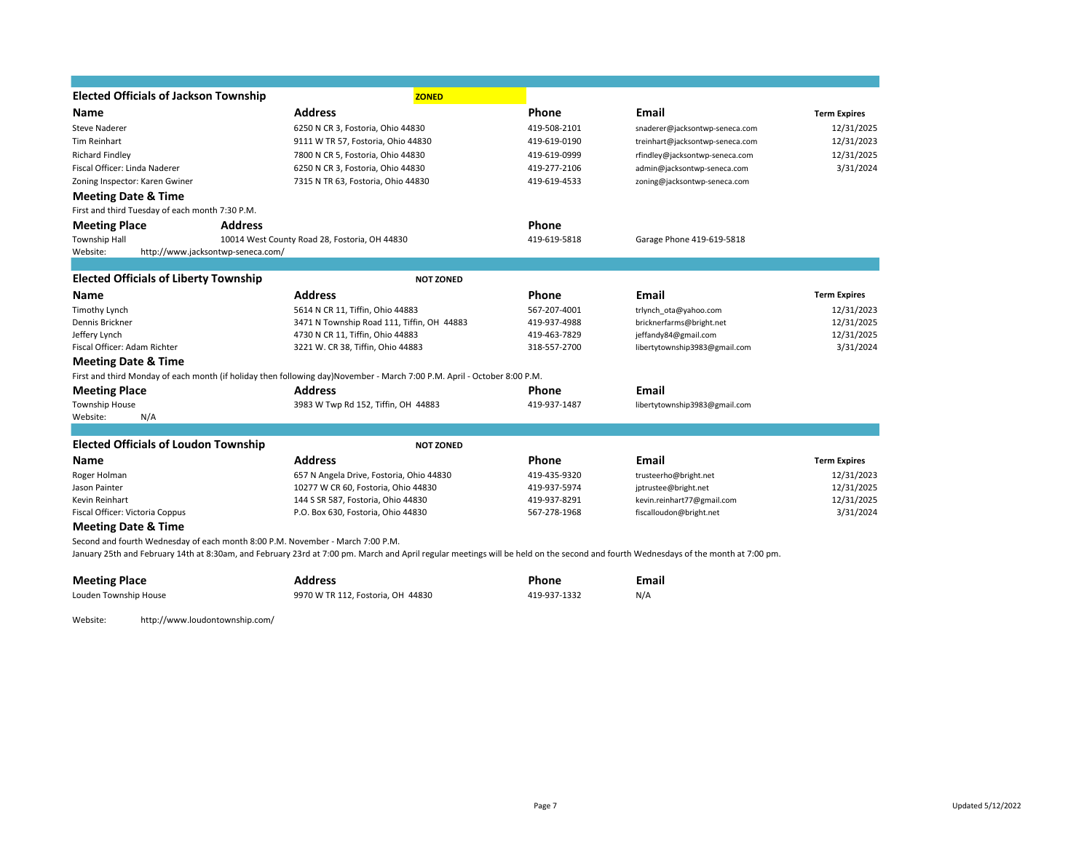| <b>Elected Officials of Jackson Township</b>    | <b>ZONED</b>                                                                                                                                                                       |              |                                 |                     |
|-------------------------------------------------|------------------------------------------------------------------------------------------------------------------------------------------------------------------------------------|--------------|---------------------------------|---------------------|
| <b>Name</b>                                     | <b>Address</b>                                                                                                                                                                     | Phone        | <b>Email</b>                    | <b>Term Expires</b> |
| <b>Steve Naderer</b>                            | 6250 N CR 3, Fostoria, Ohio 44830                                                                                                                                                  | 419-508-2101 | snaderer@jacksontwp-seneca.com  | 12/31/2025          |
| Tim Reinhart                                    | 9111 W TR 57, Fostoria, Ohio 44830                                                                                                                                                 | 419-619-0190 | treinhart@jacksontwp-seneca.com | 12/31/2023          |
| <b>Richard Findley</b>                          | 7800 N CR 5, Fostoria, Ohio 44830                                                                                                                                                  | 419-619-0999 | rfindley@jacksontwp-seneca.com  | 12/31/2025          |
| Fiscal Officer: Linda Naderer                   | 6250 N CR 3, Fostoria, Ohio 44830                                                                                                                                                  | 419-277-2106 | admin@jacksontwp-seneca.com     | 3/31/2024           |
| Zoning Inspector: Karen Gwiner                  | 7315 N TR 63, Fostoria, Ohio 44830                                                                                                                                                 | 419-619-4533 | zoning@jacksontwp-seneca.com    |                     |
| <b>Meeting Date &amp; Time</b>                  |                                                                                                                                                                                    |              |                                 |                     |
| First and third Tuesday of each month 7:30 P.M. |                                                                                                                                                                                    |              |                                 |                     |
| <b>Meeting Place</b>                            | <b>Address</b>                                                                                                                                                                     | Phone        |                                 |                     |
| <b>Township Hall</b>                            | 10014 West County Road 28, Fostoria, OH 44830                                                                                                                                      | 419-619-5818 | Garage Phone 419-619-5818       |                     |
| Website:<br>http://www.jacksontwp-seneca.com/   |                                                                                                                                                                                    |              |                                 |                     |
|                                                 |                                                                                                                                                                                    |              |                                 |                     |
| <b>Elected Officials of Liberty Township</b>    | <b>NOT ZONED</b>                                                                                                                                                                   |              |                                 |                     |
| Name                                            | <b>Address</b>                                                                                                                                                                     | Phone        | Email                           | <b>Term Expires</b> |
| Timothy Lynch                                   | 5614 N CR 11, Tiffin, Ohio 44883                                                                                                                                                   | 567-207-4001 | trlynch ota@yahoo.com           | 12/31/2023          |
| Dennis Brickner                                 | 3471 N Township Road 111, Tiffin, OH 44883                                                                                                                                         | 419-937-4988 | bricknerfarms@bright.net        | 12/31/2025          |
| Jeffery Lynch                                   | 4730 N CR 11, Tiffin, Ohio 44883                                                                                                                                                   | 419-463-7829 | jeffandy84@gmail.com            | 12/31/2025          |
| Fiscal Officer: Adam Richter                    | 3221 W. CR 38, Tiffin, Ohio 44883                                                                                                                                                  | 318-557-2700 | libertytownship3983@gmail.com   | 3/31/2024           |
| <b>Meeting Date &amp; Time</b>                  |                                                                                                                                                                                    |              |                                 |                     |
|                                                 | First and third Monday of each month (if holiday then following day)November - March 7:00 P.M. April - October 8:00 P.M.                                                           |              |                                 |                     |
| <b>Meeting Place</b>                            | <b>Address</b>                                                                                                                                                                     | Phone        | Email                           |                     |
| <b>Township House</b>                           | 3983 W Twp Rd 152, Tiffin, OH 44883                                                                                                                                                | 419-937-1487 | libertytownship3983@gmail.com   |                     |
| Website:<br>N/A                                 |                                                                                                                                                                                    |              |                                 |                     |
|                                                 |                                                                                                                                                                                    |              |                                 |                     |
| <b>Elected Officials of Loudon Township</b>     | <b>NOT ZONED</b>                                                                                                                                                                   |              |                                 |                     |
| <b>Name</b>                                     | <b>Address</b>                                                                                                                                                                     | Phone        | <b>Email</b>                    | <b>Term Expires</b> |
| Roger Holman                                    | 657 N Angela Drive, Fostoria, Ohio 44830                                                                                                                                           | 419-435-9320 | trusteerho@bright.net           | 12/31/2023          |
| Jason Painter                                   | 10277 W CR 60, Fostoria, Ohio 44830                                                                                                                                                | 419-937-5974 | jptrustee@bright.net            | 12/31/2025          |
| Kevin Reinhart                                  | 144 S SR 587, Fostoria, Ohio 44830                                                                                                                                                 | 419-937-8291 | kevin.reinhart77@gmail.com      | 12/31/2025          |
| Fiscal Officer: Victoria Coppus                 | P.O. Box 630, Fostoria, Ohio 44830                                                                                                                                                 | 567-278-1968 | fiscalloudon@bright.net         | 3/31/2024           |
| <b>Meeting Date &amp; Time</b>                  |                                                                                                                                                                                    |              |                                 |                     |
|                                                 | Second and fourth Wednesday of each month 8:00 P.M. November - March 7:00 P.M.                                                                                                     |              |                                 |                     |
|                                                 | January 25th and February 14th at 8:30am, and February 23rd at 7:00 pm. March and April regular meetings will be held on the second and fourth Wednesdays of the month at 7:00 pm. |              |                                 |                     |
|                                                 |                                                                                                                                                                                    |              |                                 |                     |

| <b>Meeting Place</b>  | Address                           | Phone        | Email |
|-----------------------|-----------------------------------|--------------|-------|
| Louden Township House | 9970 W TR 112, Fostoria, OH 44830 | 419-937-1332 | N/A   |

Website: http://www.loudontownship.com/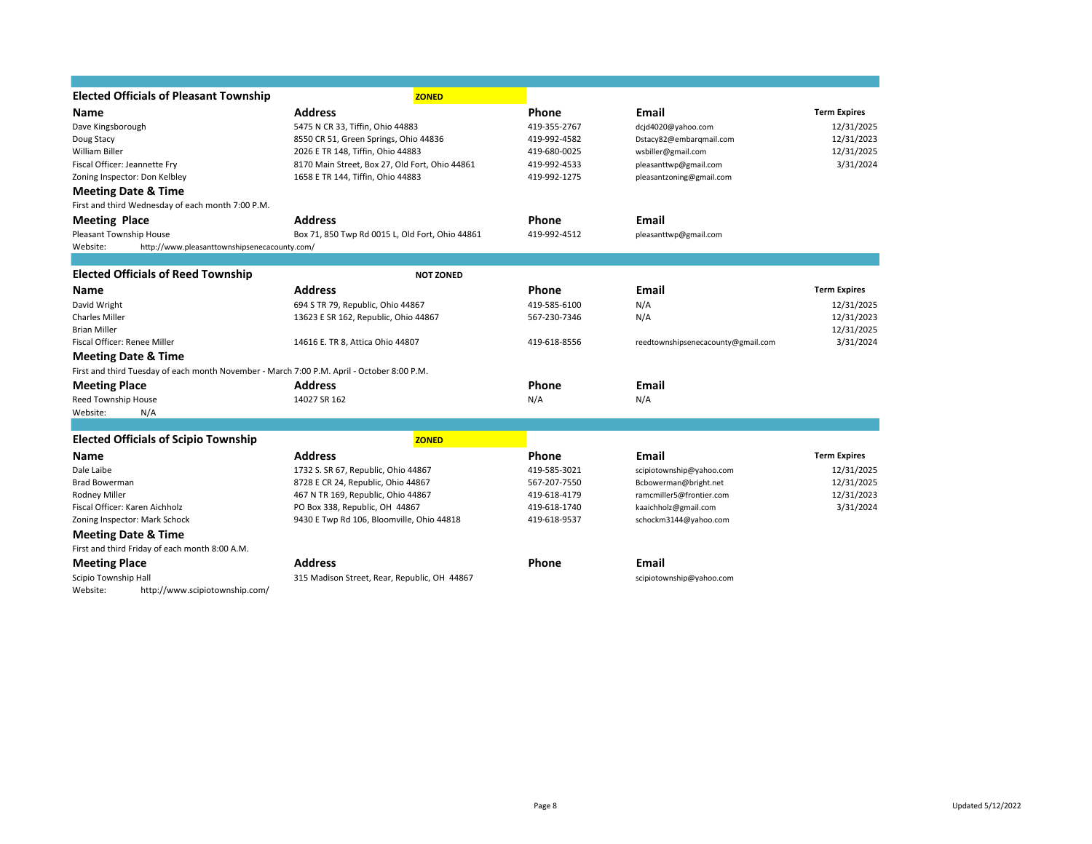| <b>Elected Officials of Pleasant Township</b>                                              | <b>ZONED</b>                                    |              |                                    |                     |
|--------------------------------------------------------------------------------------------|-------------------------------------------------|--------------|------------------------------------|---------------------|
| Name                                                                                       | <b>Address</b>                                  | Phone        | Email                              | <b>Term Expires</b> |
| Dave Kingsborough                                                                          | 5475 N CR 33, Tiffin, Ohio 44883                | 419-355-2767 | dcjd4020@yahoo.com                 | 12/31/2025          |
| Doug Stacy                                                                                 | 8550 CR 51, Green Springs, Ohio 44836           | 419-992-4582 | Dstacy82@embarqmail.com            | 12/31/2023          |
| William Biller                                                                             | 2026 E TR 148, Tiffin, Ohio 44883               | 419-680-0025 | wsbiller@gmail.com                 | 12/31/2025          |
| Fiscal Officer: Jeannette Fry                                                              | 8170 Main Street, Box 27, Old Fort, Ohio 44861  | 419-992-4533 | pleasanttwp@gmail.com              | 3/31/2024           |
| Zoning Inspector: Don Kelbley                                                              | 1658 E TR 144, Tiffin, Ohio 44883               | 419-992-1275 | pleasantzoning@gmail.com           |                     |
| <b>Meeting Date &amp; Time</b>                                                             |                                                 |              |                                    |                     |
| First and third Wednesday of each month 7:00 P.M.                                          |                                                 |              |                                    |                     |
| <b>Meeting Place</b>                                                                       | <b>Address</b>                                  | Phone        | Email                              |                     |
| Pleasant Township House                                                                    | Box 71, 850 Twp Rd 0015 L, Old Fort, Ohio 44861 | 419-992-4512 | pleasanttwp@gmail.com              |                     |
| Website:<br>http://www.pleasanttownshipsenecacounty.com/                                   |                                                 |              |                                    |                     |
|                                                                                            |                                                 |              |                                    |                     |
| <b>Elected Officials of Reed Township</b>                                                  | <b>NOT ZONED</b>                                |              |                                    |                     |
| Name                                                                                       | <b>Address</b>                                  | Phone        | Email                              | <b>Term Expires</b> |
| David Wright                                                                               | 694 S TR 79, Republic, Ohio 44867               | 419-585-6100 | N/A                                | 12/31/2025          |
| <b>Charles Miller</b>                                                                      | 13623 E SR 162, Republic, Ohio 44867            | 567-230-7346 | N/A                                | 12/31/2023          |
| <b>Brian Miller</b>                                                                        |                                                 |              |                                    | 12/31/2025          |
| Fiscal Officer: Renee Miller                                                               | 14616 E. TR 8, Attica Ohio 44807                | 419-618-8556 | reedtownshipsenecacounty@gmail.com | 3/31/2024           |
| <b>Meeting Date &amp; Time</b>                                                             |                                                 |              |                                    |                     |
| First and third Tuesday of each month November - March 7:00 P.M. April - October 8:00 P.M. |                                                 |              |                                    |                     |
| <b>Meeting Place</b>                                                                       | <b>Address</b>                                  | Phone        | Email                              |                     |
| Reed Township House                                                                        | 14027 SR 162                                    | N/A          | N/A                                |                     |
| Website:<br>N/A                                                                            |                                                 |              |                                    |                     |
|                                                                                            |                                                 |              |                                    |                     |
| <b>Elected Officials of Scipio Township</b>                                                | <b>ZONED</b>                                    |              |                                    |                     |
| Name                                                                                       | <b>Address</b>                                  | Phone        | <b>Email</b>                       | <b>Term Expires</b> |
| Dale Laibe                                                                                 | 1732 S. SR 67, Republic, Ohio 44867             | 419-585-3021 | scipiotownship@yahoo.com           | 12/31/2025          |
| <b>Brad Bowerman</b>                                                                       | 8728 E CR 24, Republic, Ohio 44867              | 567-207-7550 | Bcbowerman@bright.net              | 12/31/2025          |
| Rodney Miller                                                                              | 467 N TR 169, Republic, Ohio 44867              | 419-618-4179 | ramcmiller5@frontier.com           | 12/31/2023          |
| Fiscal Officer: Karen Aichholz                                                             | PO Box 338, Republic, OH 44867                  | 419-618-1740 | kaaichholz@gmail.com               | 3/31/2024           |
| Zoning Inspector: Mark Schock                                                              | 9430 E Twp Rd 106, Bloomville, Ohio 44818       | 419-618-9537 | schockm3144@yahoo.com              |                     |
| <b>Meeting Date &amp; Time</b>                                                             |                                                 |              |                                    |                     |
| First and third Friday of each month 8:00 A.M.                                             |                                                 |              |                                    |                     |
| <b>Meeting Place</b>                                                                       | <b>Address</b>                                  | Phone        | Email                              |                     |
| Scipio Township Hall                                                                       | 315 Madison Street, Rear, Republic, OH 44867    |              | scipiotownship@yahoo.com           |                     |
| http://www.scipiotownship.com/<br>Website:                                                 |                                                 |              |                                    |                     |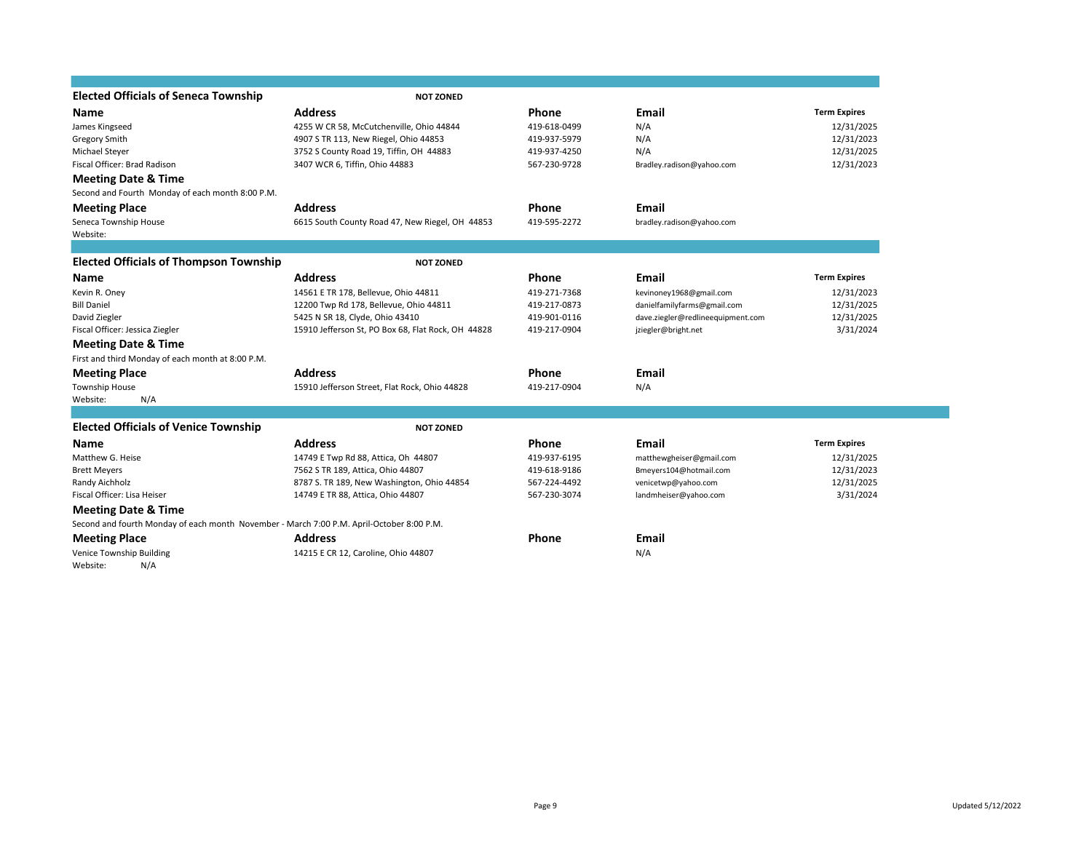| <b>Elected Officials of Seneca Township</b>                                               | <b>NOT ZONED</b>                                   |              |                                   |                     |
|-------------------------------------------------------------------------------------------|----------------------------------------------------|--------------|-----------------------------------|---------------------|
| <b>Name</b>                                                                               | <b>Address</b>                                     | Phone        | <b>Email</b>                      | <b>Term Expires</b> |
| James Kingseed                                                                            | 4255 W CR 58, McCutchenville, Ohio 44844           | 419-618-0499 | N/A                               | 12/31/2025          |
| <b>Gregory Smith</b>                                                                      | 4907 S TR 113, New Riegel, Ohio 44853              | 419-937-5979 | N/A                               | 12/31/2023          |
| Michael Steyer                                                                            | 3752 S County Road 19, Tiffin, OH 44883            | 419-937-4250 | N/A                               | 12/31/2025          |
| Fiscal Officer: Brad Radison                                                              | 3407 WCR 6, Tiffin, Ohio 44883                     | 567-230-9728 | Bradley.radison@yahoo.com         | 12/31/2023          |
| <b>Meeting Date &amp; Time</b>                                                            |                                                    |              |                                   |                     |
| Second and Fourth Monday of each month 8:00 P.M.                                          |                                                    |              |                                   |                     |
| <b>Meeting Place</b>                                                                      | <b>Address</b>                                     | <b>Phone</b> | <b>Email</b>                      |                     |
| Seneca Township House                                                                     | 6615 South County Road 47, New Riegel, OH 44853    | 419-595-2272 | bradley.radison@yahoo.com         |                     |
| Website:                                                                                  |                                                    |              |                                   |                     |
|                                                                                           |                                                    |              |                                   |                     |
| <b>Elected Officials of Thompson Township</b>                                             | <b>NOT ZONED</b>                                   |              |                                   |                     |
| <b>Name</b>                                                                               | <b>Address</b>                                     | Phone        | Email                             | <b>Term Expires</b> |
| Kevin R. Oney                                                                             | 14561 E TR 178, Bellevue, Ohio 44811               | 419-271-7368 | kevinoney1968@gmail.com           | 12/31/2023          |
| <b>Bill Daniel</b>                                                                        | 12200 Twp Rd 178, Bellevue, Ohio 44811             | 419-217-0873 | danielfamilyfarms@gmail.com       | 12/31/2025          |
| David Ziegler                                                                             | 5425 N SR 18, Clyde, Ohio 43410                    | 419-901-0116 | dave.ziegler@redlineequipment.com | 12/31/2025          |
| Fiscal Officer: Jessica Ziegler                                                           | 15910 Jefferson St, PO Box 68, Flat Rock, OH 44828 | 419-217-0904 | jziegler@bright.net               | 3/31/2024           |
| <b>Meeting Date &amp; Time</b>                                                            |                                                    |              |                                   |                     |
| First and third Monday of each month at 8:00 P.M.                                         |                                                    |              |                                   |                     |
| <b>Meeting Place</b>                                                                      | <b>Address</b>                                     | Phone        | Email                             |                     |
| Township House                                                                            | 15910 Jefferson Street, Flat Rock, Ohio 44828      | 419-217-0904 | N/A                               |                     |
| Website:<br>N/A                                                                           |                                                    |              |                                   |                     |
|                                                                                           |                                                    |              |                                   |                     |
| <b>Elected Officials of Venice Township</b>                                               | <b>NOT ZONED</b>                                   |              |                                   |                     |
| Name                                                                                      | <b>Address</b>                                     | Phone        | Email                             | <b>Term Expires</b> |
| Matthew G. Heise                                                                          | 14749 E Twp Rd 88, Attica, Oh 44807                | 419-937-6195 | matthewgheiser@gmail.com          | 12/31/2025          |
| <b>Brett Meyers</b>                                                                       | 7562 S TR 189, Attica, Ohio 44807                  | 419-618-9186 | Bmeyers104@hotmail.com            | 12/31/2023          |
| Randy Aichholz                                                                            | 8787 S. TR 189, New Washington, Ohio 44854         | 567-224-4492 | venicetwp@yahoo.com               | 12/31/2025          |
| Fiscal Officer: Lisa Heiser                                                               | 14749 E TR 88, Attica, Ohio 44807                  | 567-230-3074 | landmheiser@yahoo.com             | 3/31/2024           |
| <b>Meeting Date &amp; Time</b>                                                            |                                                    |              |                                   |                     |
| Second and fourth Monday of each month November - March 7:00 P.M. April-October 8:00 P.M. |                                                    |              |                                   |                     |
| <b>Meeting Place</b>                                                                      | <b>Address</b>                                     | <b>Phone</b> | <b>Email</b>                      |                     |
| Venice Township Building                                                                  | 14215 E CR 12, Caroline, Ohio 44807                |              | N/A                               |                     |
| N/A<br>Website:                                                                           |                                                    |              |                                   |                     |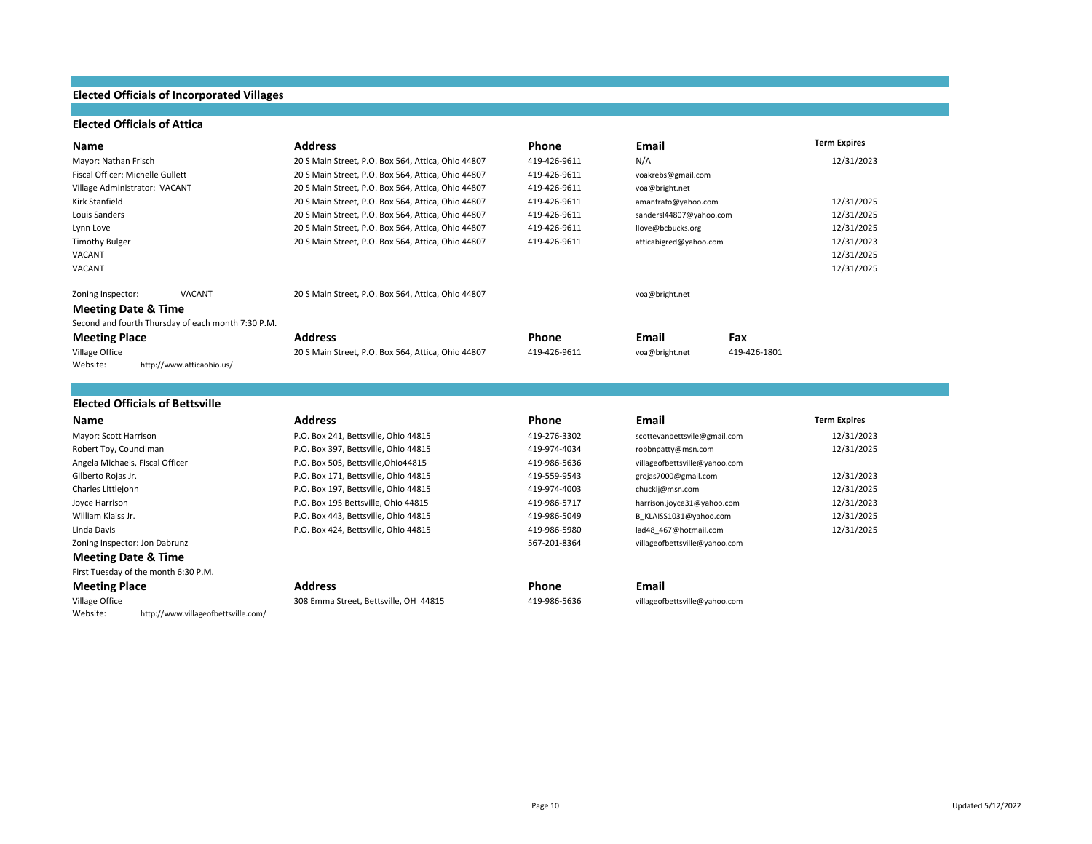### **Elected Officials of Incorporated Villages**

### **Elected Officials of Attica**

| Name                                               | <b>Address</b>                                     | Phone        | Email                   |              | <b>Term Expires</b> |
|----------------------------------------------------|----------------------------------------------------|--------------|-------------------------|--------------|---------------------|
| Mayor: Nathan Frisch                               | 20 S Main Street, P.O. Box 564, Attica, Ohio 44807 | 419-426-9611 | N/A                     |              | 12/31/2023          |
| Fiscal Officer: Michelle Gullett                   | 20 S Main Street, P.O. Box 564, Attica, Ohio 44807 | 419-426-9611 | voakrebs@gmail.com      |              |                     |
| Village Administrator: VACANT                      | 20 S Main Street, P.O. Box 564, Attica, Ohio 44807 | 419-426-9611 | voa@bright.net          |              |                     |
| Kirk Stanfield                                     | 20 S Main Street, P.O. Box 564, Attica, Ohio 44807 | 419-426-9611 | amanfrafo@yahoo.com     |              | 12/31/2025          |
| Louis Sanders                                      | 20 S Main Street, P.O. Box 564, Attica, Ohio 44807 | 419-426-9611 | sandersl44807@yahoo.com |              | 12/31/2025          |
| Lynn Love                                          | 20 S Main Street, P.O. Box 564, Attica, Ohio 44807 | 419-426-9611 | llove@bcbucks.org       |              | 12/31/2025          |
| <b>Timothy Bulger</b>                              | 20 S Main Street, P.O. Box 564, Attica, Ohio 44807 | 419-426-9611 | atticabigred@yahoo.com  |              | 12/31/2023          |
| VACANT                                             |                                                    |              |                         |              | 12/31/2025          |
| VACANT                                             |                                                    |              |                         |              | 12/31/2025          |
| VACANT<br>Zoning Inspector:                        | 20 S Main Street, P.O. Box 564, Attica, Ohio 44807 |              | voa@bright.net          |              |                     |
| <b>Meeting Date &amp; Time</b>                     |                                                    |              |                         |              |                     |
| Second and fourth Thursday of each month 7:30 P.M. |                                                    |              |                         |              |                     |
| <b>Meeting Place</b>                               | <b>Address</b>                                     | Phone        | Email                   | Fax          |                     |
| Village Office                                     | 20 S Main Street, P.O. Box 564, Attica, Ohio 44807 | 419-426-9611 | voa@bright.net          | 419-426-1801 |                     |
| Website:<br>http://www.atticaohio.us/              |                                                    |              |                         |              |                     |
|                                                    |                                                    |              |                         |              |                     |
| <b>Elected Officials of Bettsville</b>             |                                                    |              |                         |              |                     |

| Name                                 | <b>Address</b>                        | <b>Phone</b> | Email                         | <b>Term Expires</b> |
|--------------------------------------|---------------------------------------|--------------|-------------------------------|---------------------|
| Mayor: Scott Harrison                | P.O. Box 241, Bettsville, Ohio 44815  | 419-276-3302 | scottevanbettsvile@gmail.com  | 12/31/2023          |
| Robert Toy, Councilman               | P.O. Box 397, Bettsville, Ohio 44815  | 419-974-4034 | robbnpatty@msn.com            | 12/31/2025          |
| Angela Michaels, Fiscal Officer      | P.O. Box 505, Bettsville, Ohio44815   | 419-986-5636 | villageofbettsville@yahoo.com |                     |
| Gilberto Rojas Jr.                   | P.O. Box 171, Bettsville, Ohio 44815  | 419-559-9543 | grojas7000@gmail.com          | 12/31/2023          |
| Charles Littlejohn                   | P.O. Box 197, Bettsville, Ohio 44815  | 419-974-4003 | chucklj@msn.com               | 12/31/2025          |
| Joyce Harrison                       | P.O. Box 195 Bettsville, Ohio 44815   | 419-986-5717 | harrison.joyce31@yahoo.com    | 12/31/2023          |
| William Klaiss Jr.                   | P.O. Box 443, Bettsville, Ohio 44815  | 419-986-5049 | B KLAISS1031@yahoo.com        | 12/31/2025          |
| Linda Davis                          | P.O. Box 424, Bettsville, Ohio 44815  | 419-986-5980 | lad48 467@hotmail.com         | 12/31/2025          |
| Zoning Inspector: Jon Dabrunz        |                                       | 567-201-8364 | villageofbettsville@yahoo.com |                     |
| <b>Meeting Date &amp; Time</b>       |                                       |              |                               |                     |
| First Tuesday of the month 6:30 P.M. |                                       |              |                               |                     |
| <b>Meeting Place</b>                 | <b>Address</b>                        | <b>Phone</b> | Email                         |                     |
| Village Office                       | 308 Emma Street, Bettsville, OH 44815 | 419-986-5636 | villageofbettsville@yahoo.com |                     |

Website: http://www.villageofbettsville.com/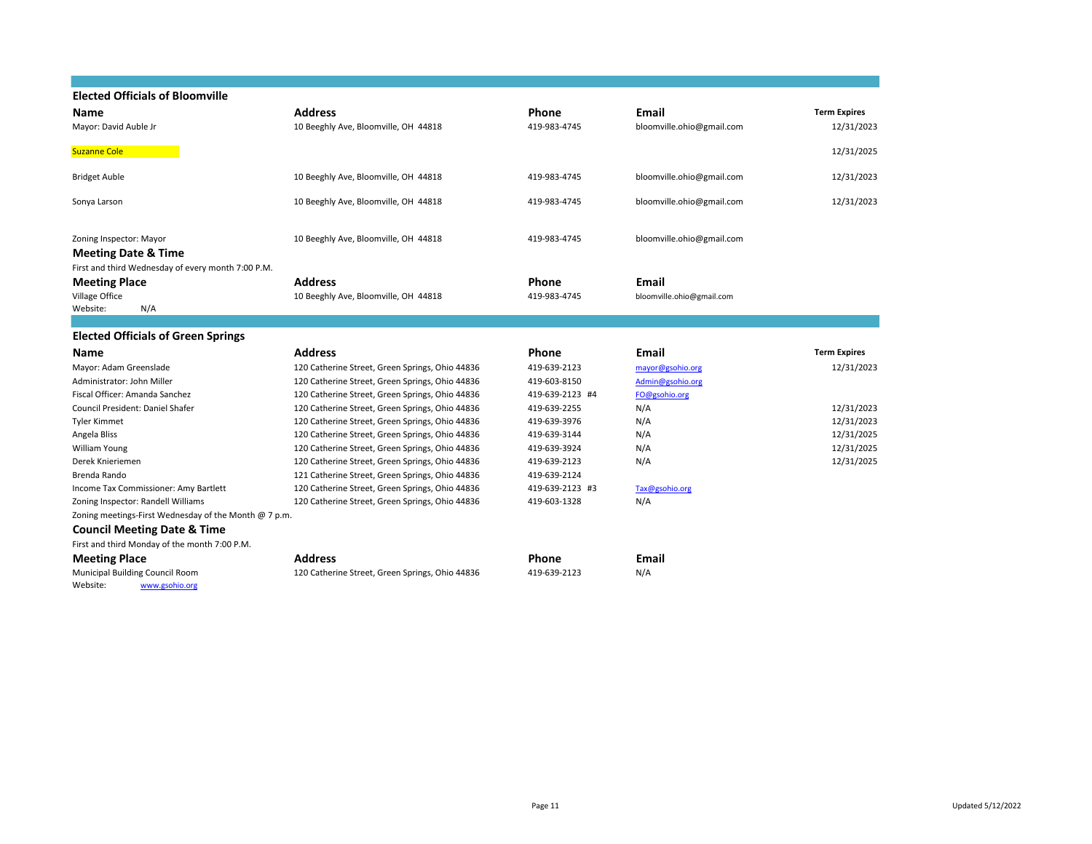| <b>Elected Officials of Bloomville</b>                |                                                 |                 |                           |                     |
|-------------------------------------------------------|-------------------------------------------------|-----------------|---------------------------|---------------------|
| Name                                                  | <b>Address</b>                                  | Phone           | <b>Email</b>              | <b>Term Expires</b> |
| Mayor: David Auble Jr                                 | 10 Beeghly Ave, Bloomville, OH 44818            | 419-983-4745    | bloomville.ohio@gmail.com | 12/31/2023          |
|                                                       |                                                 |                 |                           |                     |
| <b>Suzanne Cole</b>                                   |                                                 |                 |                           | 12/31/2025          |
| <b>Bridget Auble</b>                                  | 10 Beeghly Ave, Bloomville, OH 44818            | 419-983-4745    |                           | 12/31/2023          |
|                                                       |                                                 |                 | bloomville.ohio@gmail.com |                     |
| Sonya Larson                                          | 10 Beeghly Ave, Bloomville, OH 44818            | 419-983-4745    | bloomville.ohio@gmail.com | 12/31/2023          |
|                                                       |                                                 |                 |                           |                     |
|                                                       |                                                 |                 |                           |                     |
| Zoning Inspector: Mayor                               | 10 Beeghly Ave, Bloomville, OH 44818            | 419-983-4745    | bloomville.ohio@gmail.com |                     |
| <b>Meeting Date &amp; Time</b>                        |                                                 |                 |                           |                     |
| First and third Wednesday of every month 7:00 P.M.    |                                                 |                 |                           |                     |
| <b>Meeting Place</b>                                  | <b>Address</b>                                  | <b>Phone</b>    | Email                     |                     |
| Village Office                                        | 10 Beeghly Ave, Bloomville, OH 44818            | 419-983-4745    | bloomville.ohio@gmail.com |                     |
| N/A<br>Website:                                       |                                                 |                 |                           |                     |
|                                                       |                                                 |                 |                           |                     |
| <b>Elected Officials of Green Springs</b>             |                                                 |                 |                           |                     |
| Name                                                  | <b>Address</b>                                  | Phone           | Email                     | <b>Term Expires</b> |
| Mayor: Adam Greenslade                                | 120 Catherine Street, Green Springs, Ohio 44836 | 419-639-2123    | mayor@gsohio.org          | 12/31/2023          |
| Administrator: John Miller                            | 120 Catherine Street, Green Springs, Ohio 44836 | 419-603-8150    | Admin@gsohio.org          |                     |
| Fiscal Officer: Amanda Sanchez                        | 120 Catherine Street, Green Springs, Ohio 44836 | 419-639-2123 #4 | FO@gsohio.org             |                     |
| Council President: Daniel Shafer                      | 120 Catherine Street, Green Springs, Ohio 44836 | 419-639-2255    | N/A                       | 12/31/2023          |
| Tyler Kimmet                                          | 120 Catherine Street, Green Springs, Ohio 44836 | 419-639-3976    | N/A                       | 12/31/2023          |
| Angela Bliss                                          | 120 Catherine Street, Green Springs, Ohio 44836 | 419-639-3144    | N/A                       | 12/31/2025          |
| William Young                                         | 120 Catherine Street, Green Springs, Ohio 44836 | 419-639-3924    | N/A                       | 12/31/2025          |
| Derek Knieriemen                                      | 120 Catherine Street, Green Springs, Ohio 44836 | 419-639-2123    | N/A                       | 12/31/2025          |
| Brenda Rando                                          | 121 Catherine Street, Green Springs, Ohio 44836 | 419-639-2124    |                           |                     |
| Income Tax Commissioner: Amy Bartlett                 | 120 Catherine Street, Green Springs, Ohio 44836 | 419-639-2123 #3 | Tax@gsohio.org            |                     |
| Zoning Inspector: Randell Williams                    | 120 Catherine Street, Green Springs, Ohio 44836 | 419-603-1328    | N/A                       |                     |
| Zoning meetings-First Wednesday of the Month @ 7 p.m. |                                                 |                 |                           |                     |
| <b>Council Meeting Date &amp; Time</b>                |                                                 |                 |                           |                     |
| First and third Monday of the month 7:00 P.M.         |                                                 |                 |                           |                     |
| <b>Meeting Place</b>                                  | <b>Address</b>                                  | Phone           | <b>Email</b>              |                     |
| Municipal Building Council Room                       | 120 Catherine Street, Green Springs, Ohio 44836 | 419-639-2123    | N/A                       |                     |
| Website:<br>www.gsohio.org                            |                                                 |                 |                           |                     |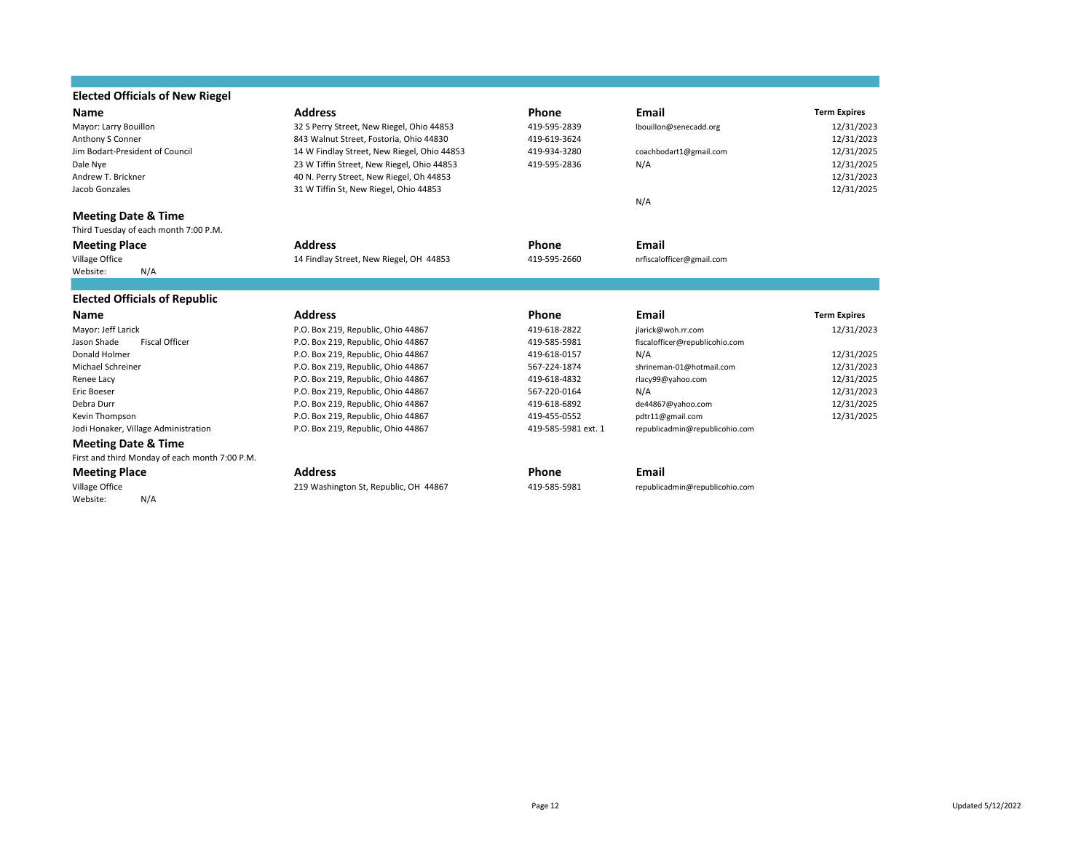| <b>Elected Officials of New Riegel</b>         |                                             |                     |                                |                     |
|------------------------------------------------|---------------------------------------------|---------------------|--------------------------------|---------------------|
| <b>Name</b>                                    | <b>Address</b>                              | <b>Phone</b>        | <b>Email</b>                   | <b>Term Expires</b> |
| Mayor: Larry Bouillon                          | 32 S Perry Street, New Riegel, Ohio 44853   | 419-595-2839        | lbouillon@senecadd.org         | 12/31/2023          |
| Anthony S Conner                               | 843 Walnut Street, Fostoria, Ohio 44830     | 419-619-3624        |                                | 12/31/2023          |
| Jim Bodart-President of Council                | 14 W Findlay Street, New Riegel, Ohio 44853 | 419-934-3280        | coachbodart1@gmail.com         | 12/31/2025          |
| Dale Nye                                       | 23 W Tiffin Street, New Riegel, Ohio 44853  | 419-595-2836        | N/A                            | 12/31/2025          |
| Andrew T. Brickner                             | 40 N. Perry Street, New Riegel, Oh 44853    |                     |                                | 12/31/2023          |
| Jacob Gonzales                                 | 31 W Tiffin St, New Riegel, Ohio 44853      |                     |                                | 12/31/2025          |
|                                                |                                             |                     | N/A                            |                     |
| <b>Meeting Date &amp; Time</b>                 |                                             |                     |                                |                     |
| Third Tuesday of each month 7:00 P.M.          |                                             |                     |                                |                     |
| <b>Meeting Place</b>                           | <b>Address</b>                              | <b>Phone</b>        | Email                          |                     |
| Village Office                                 | 14 Findlay Street, New Riegel, OH 44853     | 419-595-2660        | nrfiscalofficer@gmail.com      |                     |
| Website:<br>N/A                                |                                             |                     |                                |                     |
|                                                |                                             |                     |                                |                     |
| <b>Elected Officials of Republic</b>           |                                             |                     |                                |                     |
| <b>Name</b>                                    | <b>Address</b>                              | <b>Phone</b>        | <b>Email</b>                   | <b>Term Expires</b> |
| Mayor: Jeff Larick                             | P.O. Box 219, Republic, Ohio 44867          | 419-618-2822        | jlarick@woh.rr.com             | 12/31/2023          |
| <b>Fiscal Officer</b><br>Jason Shade           | P.O. Box 219, Republic, Ohio 44867          | 419-585-5981        | fiscalofficer@republicohio.com |                     |
| Donald Holmer                                  | P.O. Box 219, Republic, Ohio 44867          | 419-618-0157        | N/A                            | 12/31/2025          |
| Michael Schreiner                              | P.O. Box 219, Republic, Ohio 44867          | 567-224-1874        | shrineman-01@hotmail.com       | 12/31/2023          |
| Renee Lacy                                     | P.O. Box 219, Republic, Ohio 44867          | 419-618-4832        | rlacy99@yahoo.com              | 12/31/2025          |
| Eric Boeser                                    | P.O. Box 219, Republic, Ohio 44867          | 567-220-0164        | N/A                            | 12/31/2023          |
| Debra Durr                                     | P.O. Box 219, Republic, Ohio 44867          | 419-618-6892        | de44867@yahoo.com              | 12/31/2025          |
| Kevin Thompson                                 | P.O. Box 219, Republic, Ohio 44867          | 419-455-0552        | pdtr11@gmail.com               | 12/31/2025          |
| Jodi Honaker, Village Administration           | P.O. Box 219, Republic, Ohio 44867          | 419-585-5981 ext. 1 | republicadmin@republicohio.com |                     |
| <b>Meeting Date &amp; Time</b>                 |                                             |                     |                                |                     |
| First and third Monday of each month 7:00 P.M. |                                             |                     |                                |                     |
| <b>Meeting Place</b>                           | <b>Address</b>                              | <b>Phone</b>        | Email                          |                     |
| Village Office                                 | 219 Washington St, Republic, OH 44867       | 419-585-5981        | republicadmin@republicohio.com |                     |
| N/A<br>Website:                                |                                             |                     |                                |                     |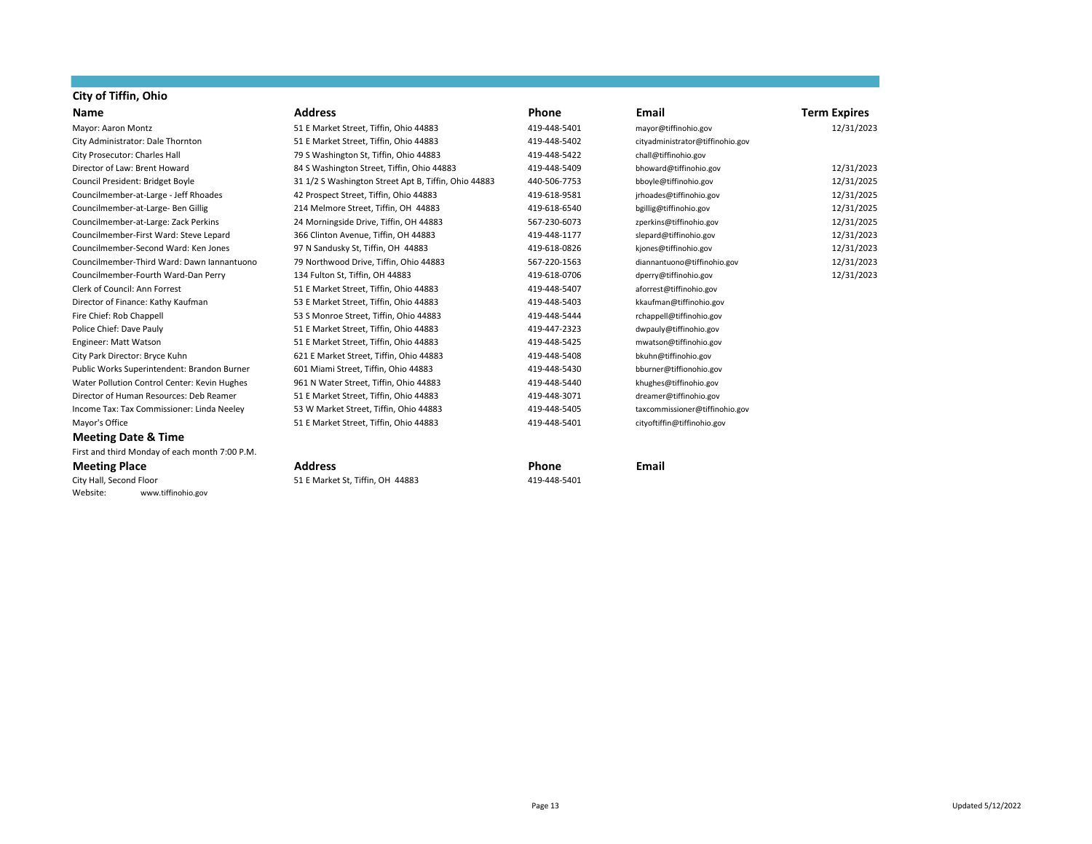# **City of Tiffin, Ohio**

### **Meeting Date & Time**

First and third Monday of each month 7:00 P.M.

### **Meeting Place Address Phone Email**

City Hall, Second Floor 51 E Market St, Tiffin, OH 44883 419-448-5401 Website: www.tiffinohio.gov

| City of Tittin, Onio                         |                                                      |              |                                  |                     |
|----------------------------------------------|------------------------------------------------------|--------------|----------------------------------|---------------------|
| Name                                         | <b>Address</b>                                       | <b>Phone</b> | Email                            | <b>Term Expires</b> |
| Mayor: Aaron Montz                           | 51 E Market Street, Tiffin, Ohio 44883               | 419-448-5401 | mayor@tiffinohio.gov             | 12/31/2023          |
| City Administrator: Dale Thornton            | 51 E Market Street, Tiffin, Ohio 44883               | 419-448-5402 | cityadministrator@tiffinohio.gov |                     |
| City Prosecutor: Charles Hall                | 79 S Washington St, Tiffin, Ohio 44883               | 419-448-5422 | chall@tiffinohio.gov             |                     |
| Director of Law: Brent Howard                | 84 S Washington Street, Tiffin, Ohio 44883           | 419-448-5409 | bhoward@tiffinohio.gov           | 12/31/2023          |
| Council President: Bridget Boyle             | 31 1/2 S Washington Street Apt B, Tiffin, Ohio 44883 | 440-506-7753 | bboyle@tiffinohio.gov            | 12/31/2025          |
| Councilmember-at-Large - Jeff Rhoades        | 42 Prospect Street, Tiffin, Ohio 44883               | 419-618-9581 | jrhoades@tiffinohio.gov          | 12/31/2025          |
| Councilmember-at-Large- Ben Gillig           | 214 Melmore Street, Tiffin, OH 44883                 | 419-618-6540 | bgillig@tiffinohio.gov           | 12/31/2025          |
| Councilmember-at-Large: Zack Perkins         | 24 Morningside Drive, Tiffin, OH 44883               | 567-230-6073 | zperkins@tiffinohio.gov          | 12/31/2025          |
| Councilmember-First Ward: Steve Lepard       | 366 Clinton Avenue, Tiffin, OH 44883                 | 419-448-1177 | slepard@tiffinohio.gov           | 12/31/2023          |
| Councilmember-Second Ward: Ken Jones         | 97 N Sandusky St, Tiffin, OH 44883                   | 419-618-0826 | kjones@tiffinohio.gov            | 12/31/2023          |
| Councilmember-Third Ward: Dawn Jannantuono   | 79 Northwood Drive, Tiffin, Ohio 44883               | 567-220-1563 | diannantuono@tiffinohio.gov      | 12/31/2023          |
| Councilmember-Fourth Ward-Dan Perry          | 134 Fulton St, Tiffin, OH 44883                      | 419-618-0706 | dperry@tiffinohio.gov            | 12/31/2023          |
| Clerk of Council: Ann Forrest                | 51 E Market Street, Tiffin, Ohio 44883               | 419-448-5407 | aforrest@tiffinohio.gov          |                     |
| Director of Finance: Kathy Kaufman           | 53 E Market Street, Tiffin, Ohio 44883               | 419-448-5403 | kkaufman@tiffinohio.gov          |                     |
| Fire Chief: Rob Chappell                     | 53 S Monroe Street, Tiffin, Ohio 44883               | 419-448-5444 | rchappell@tiffinohio.gov         |                     |
| Police Chief: Dave Pauly                     | 51 E Market Street, Tiffin, Ohio 44883               | 419-447-2323 | dwpauly@tiffinohio.gov           |                     |
| Engineer: Matt Watson                        | 51 E Market Street, Tiffin, Ohio 44883               | 419-448-5425 | mwatson@tiffinohio.gov           |                     |
| City Park Director: Bryce Kuhn               | 621 E Market Street, Tiffin, Ohio 44883              | 419-448-5408 | bkuhn@tiffinohio.gov             |                     |
| Public Works Superintendent: Brandon Burner  | 601 Miami Street, Tiffin, Ohio 44883                 | 419-448-5430 | bburner@tiffionohio.gov          |                     |
| Water Pollution Control Center: Kevin Hughes | 961 N Water Street, Tiffin, Ohio 44883               | 419-448-5440 | khughes@tiffinohio.gov           |                     |
| Director of Human Resources: Deb Reamer      | 51 E Market Street, Tiffin, Ohio 44883               | 419-448-3071 | dreamer@tiffinohio.gov           |                     |
| Income Tax: Tax Commissioner: Linda Neeley   | 53 W Market Street, Tiffin, Ohio 44883               | 419-448-5405 | taxcommissioner@tiffinohio.gov   |                     |
|                                              |                                                      |              |                                  |                     |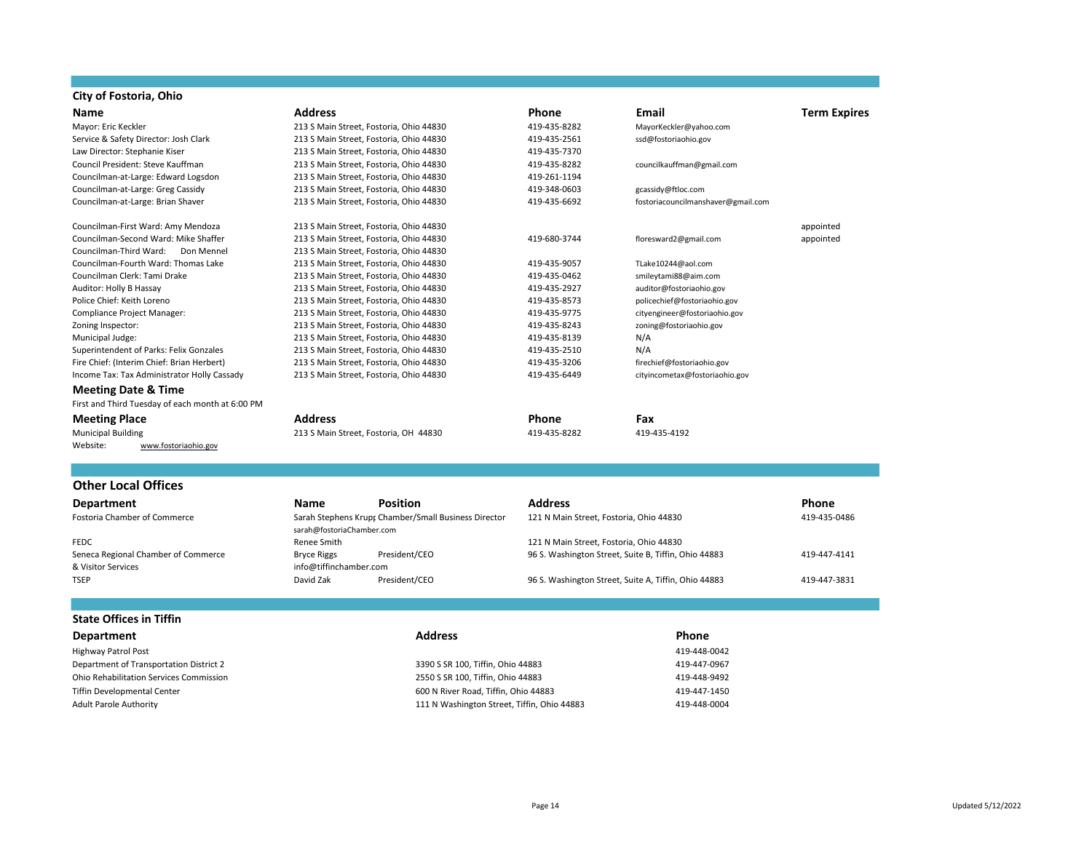## **City of Fostoria, Ohio**

| Name                                             | <b>Address</b>                          |                                                      | Phone                                        | <b>Email</b>                       | <b>Term Expires</b> |
|--------------------------------------------------|-----------------------------------------|------------------------------------------------------|----------------------------------------------|------------------------------------|---------------------|
| Mayor: Eric Keckler                              | 213 S Main Street, Fostoria, Ohio 44830 |                                                      | 419-435-8282                                 | MayorKeckler@yahoo.com             |                     |
| Service & Safety Director: Josh Clark            | 213 S Main Street, Fostoria, Ohio 44830 |                                                      | 419-435-2561                                 | ssd@fostoriaohio.gov               |                     |
| Law Director: Stephanie Kiser                    | 213 S Main Street, Fostoria, Ohio 44830 |                                                      | 419-435-7370                                 |                                    |                     |
| Council President: Steve Kauffman                | 213 S Main Street, Fostoria, Ohio 44830 |                                                      | 419-435-8282                                 | councilkauffman@gmail.com          |                     |
| Councilman-at-Large: Edward Logsdon              | 213 S Main Street, Fostoria, Ohio 44830 |                                                      | 419-261-1194                                 |                                    |                     |
| Councilman-at-Large: Greg Cassidy                | 213 S Main Street, Fostoria, Ohio 44830 |                                                      | 419-348-0603                                 | gcassidy@ftloc.com                 |                     |
| Councilman-at-Large: Brian Shaver                | 213 S Main Street, Fostoria, Ohio 44830 |                                                      | 419-435-6692                                 | fostoriacouncilmanshaver@gmail.com |                     |
| Councilman-First Ward: Amy Mendoza               | 213 S Main Street, Fostoria, Ohio 44830 |                                                      |                                              |                                    | appointed           |
| Councilman-Second Ward: Mike Shaffer             | 213 S Main Street, Fostoria, Ohio 44830 |                                                      | 419-680-3744                                 | floresward2@gmail.com              | appointed           |
| Councilman-Third Ward:<br>Don Mennel             | 213 S Main Street, Fostoria, Ohio 44830 |                                                      |                                              |                                    |                     |
| Councilman-Fourth Ward: Thomas Lake              | 213 S Main Street, Fostoria, Ohio 44830 |                                                      | 419-435-9057                                 | TLake10244@aol.com                 |                     |
| Councilman Clerk: Tami Drake                     | 213 S Main Street, Fostoria, Ohio 44830 |                                                      | 419-435-0462                                 | smileytami88@aim.com               |                     |
| Auditor: Holly B Hassay                          | 213 S Main Street, Fostoria, Ohio 44830 |                                                      | 419-435-2927                                 | auditor@fostoriaohio.gov           |                     |
| Police Chief: Keith Loreno                       | 213 S Main Street, Fostoria, Ohio 44830 |                                                      | 419-435-8573<br>policechief@fostoriaohio.gov |                                    |                     |
| Compliance Project Manager:                      | 213 S Main Street, Fostoria, Ohio 44830 |                                                      | 419-435-9775                                 | cityengineer@fostoriaohio.gov      |                     |
| Zoning Inspector:                                | 213 S Main Street, Fostoria, Ohio 44830 |                                                      | 419-435-8243                                 | zoning@fostoriaohio.gov            |                     |
| Municipal Judge:                                 | 213 S Main Street, Fostoria, Ohio 44830 |                                                      | 419-435-8139                                 | N/A                                |                     |
| Superintendent of Parks: Felix Gonzales          | 213 S Main Street, Fostoria, Ohio 44830 |                                                      | 419-435-2510                                 | N/A                                |                     |
| Fire Chief: (Interim Chief: Brian Herbert)       | 213 S Main Street, Fostoria, Ohio 44830 |                                                      | 419-435-3206                                 | firechief@fostoriaohio.gov         |                     |
| Income Tax: Tax Administrator Holly Cassady      | 213 S Main Street, Fostoria, Ohio 44830 |                                                      | 419-435-6449                                 | cityincometax@fostoriaohio.gov     |                     |
| <b>Meeting Date &amp; Time</b>                   |                                         |                                                      |                                              |                                    |                     |
| First and Third Tuesday of each month at 6:00 PM |                                         |                                                      |                                              |                                    |                     |
| <b>Meeting Place</b>                             | <b>Address</b>                          |                                                      | <b>Phone</b>                                 | Fax                                |                     |
| <b>Municipal Building</b>                        | 213 S Main Street, Fostoria, OH 44830   |                                                      | 419-435-8282                                 | 419-435-4192                       |                     |
| Website:<br>www.fostoriaohio.gov                 |                                         |                                                      |                                              |                                    |                     |
|                                                  |                                         |                                                      |                                              |                                    |                     |
| <b>Other Local Offices</b>                       |                                         |                                                      |                                              |                                    |                     |
| Department                                       | <b>Name</b>                             | <b>Position</b>                                      | <b>Address</b>                               |                                    | Phone               |
| <b>Fostoria Chamber of Commerce</b>              | sarah@fostoriaChamber.com               | Sarah Stephens Krupt Chamber/Small Business Director | 121 N Main Street, Fostoria, Ohio 44830      |                                    | 419-435-0486        |
| <b>FEDC</b>                                      | Renee Smith                             |                                                      | 121 N Main Street, Fostoria, Ohio 44830      |                                    |                     |

Seneca Regional Chamber of Commerce **Bryce Riggs** President/CEO 96 S. Washington Street, Suite B, Tiffin, Ohio 44883 419-447-4141<br>B Visitor Services and Bryce Riggittinchamber.com

& Visitor Services info@tiffinchamber.com

| <b>Department</b>                       | <b>Address</b>                              | Phone        |
|-----------------------------------------|---------------------------------------------|--------------|
| <b>Highway Patrol Post</b>              |                                             | 419-448-0042 |
| Department of Transportation District 2 | 3390 S SR 100, Tiffin, Ohio 44883           | 419-447-0967 |
| Ohio Rehabilitation Services Commission | 2550 S SR 100, Tiffin, Ohio 44883           | 419-448-9492 |
| Tiffin Developmental Center             | 600 N River Road, Tiffin, Ohio 44883        | 419-447-1450 |
| Adult Parole Authority                  | 111 N Washington Street, Tiffin, Ohio 44883 | 419-448-0004 |

96 S. Washington Street, Suite A, Tiffin, Ohio 44883 419-447-3831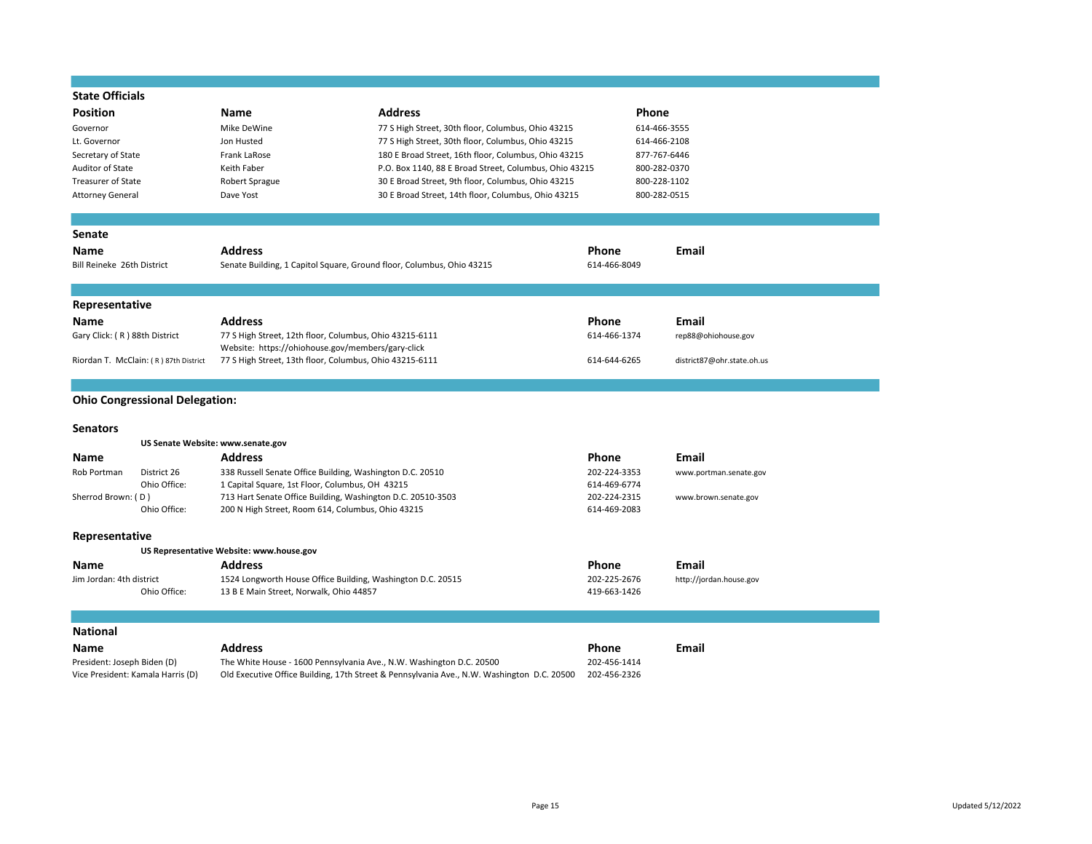| <b>State Officials</b>                                                                           |                                                                       |                                                                                            |                            |                         |
|--------------------------------------------------------------------------------------------------|-----------------------------------------------------------------------|--------------------------------------------------------------------------------------------|----------------------------|-------------------------|
| Position                                                                                         | <b>Name</b>                                                           | <b>Address</b>                                                                             | <b>Phone</b>               |                         |
| Governor                                                                                         | Mike DeWine                                                           | 77 S High Street, 30th floor, Columbus, Ohio 43215                                         | 614-466-3555               |                         |
| Lt. Governor                                                                                     | Jon Husted                                                            | 77 S High Street, 30th floor, Columbus, Ohio 43215                                         | 614-466-2108               |                         |
| Secretary of State                                                                               | Frank LaRose                                                          | 180 E Broad Street, 16th floor, Columbus, Ohio 43215                                       | 877-767-6446               |                         |
| <b>Auditor of State</b>                                                                          | Keith Faber                                                           | P.O. Box 1140, 88 E Broad Street, Columbus, Ohio 43215                                     | 800-282-0370               |                         |
| <b>Treasurer of State</b>                                                                        | Robert Sprague                                                        | 30 E Broad Street, 9th floor, Columbus, Ohio 43215                                         | 800-228-1102               |                         |
| <b>Attorney General</b>                                                                          | Dave Yost                                                             | 30 E Broad Street, 14th floor, Columbus, Ohio 43215                                        | 800-282-0515               |                         |
|                                                                                                  |                                                                       |                                                                                            |                            |                         |
| <b>Senate</b>                                                                                    |                                                                       |                                                                                            |                            |                         |
| Name                                                                                             | <b>Address</b>                                                        |                                                                                            | Phone                      | <b>Email</b>            |
| Bill Reineke 26th District                                                                       | Senate Building, 1 Capitol Square, Ground floor, Columbus, Ohio 43215 |                                                                                            | 614-466-8049               |                         |
|                                                                                                  |                                                                       |                                                                                            |                            |                         |
| Representative                                                                                   |                                                                       |                                                                                            |                            |                         |
| Name                                                                                             | <b>Address</b>                                                        |                                                                                            | Phone                      | Email                   |
| Gary Click: (R) 88th District                                                                    | 77 S High Street, 12th floor, Columbus, Ohio 43215-6111               |                                                                                            | 614-466-1374               | rep88@ohiohouse.gov     |
|                                                                                                  | Website: https://ohiohouse.gov/members/gary-click                     |                                                                                            |                            |                         |
| 77 S High Street, 13th floor, Columbus, Ohio 43215-6111<br>Riordan T. McClain: (R) 87th District |                                                                       | 614-644-6265                                                                               | district87@ohr.state.oh.us |                         |
|                                                                                                  |                                                                       |                                                                                            |                            |                         |
| <b>Ohio Congressional Delegation:</b>                                                            |                                                                       |                                                                                            |                            |                         |
|                                                                                                  |                                                                       |                                                                                            |                            |                         |
| <b>Senators</b>                                                                                  |                                                                       |                                                                                            |                            |                         |
|                                                                                                  | US Senate Website: www.senate.gov                                     |                                                                                            |                            |                         |
| Name                                                                                             | <b>Address</b>                                                        |                                                                                            | Phone                      | Email                   |
| Rob Portman<br>District 26                                                                       | 338 Russell Senate Office Building, Washington D.C. 20510             |                                                                                            | 202-224-3353               | www.portman.senate.gov  |
| Ohio Office:                                                                                     | 1 Capital Square, 1st Floor, Columbus, OH 43215                       |                                                                                            | 614-469-6774               |                         |
| Sherrod Brown: (D)                                                                               | 713 Hart Senate Office Building, Washington D.C. 20510-3503           |                                                                                            | 202-224-2315               | www.brown.senate.gov    |
| Ohio Office:                                                                                     | 200 N High Street, Room 614, Columbus, Ohio 43215                     |                                                                                            | 614-469-2083               |                         |
| Representative                                                                                   |                                                                       |                                                                                            |                            |                         |
|                                                                                                  | US Representative Website: www.house.gov                              |                                                                                            |                            |                         |
| Name                                                                                             | <b>Address</b>                                                        |                                                                                            | Phone                      | Email                   |
| Jim Jordan: 4th district                                                                         | 1524 Longworth House Office Building, Washington D.C. 20515           |                                                                                            | 202-225-2676               | http://jordan.house.gov |
| Ohio Office:                                                                                     | 13 B E Main Street, Norwalk, Ohio 44857                               |                                                                                            | 419-663-1426               |                         |
|                                                                                                  |                                                                       |                                                                                            |                            |                         |
|                                                                                                  |                                                                       |                                                                                            |                            |                         |
| <b>National</b>                                                                                  |                                                                       |                                                                                            |                            |                         |
| Name                                                                                             | <b>Address</b>                                                        |                                                                                            | Phone                      | Email                   |
| President: Joseph Biden (D)                                                                      | The White House - 1600 Pennsylvania Ave., N.W. Washington D.C. 20500  |                                                                                            | 202-456-1414               |                         |
| Vice President: Kamala Harris (D)                                                                |                                                                       | Old Executive Office Building, 17th Street & Pennsylvania Ave., N.W. Washington D.C. 20500 | 202-456-2326               |                         |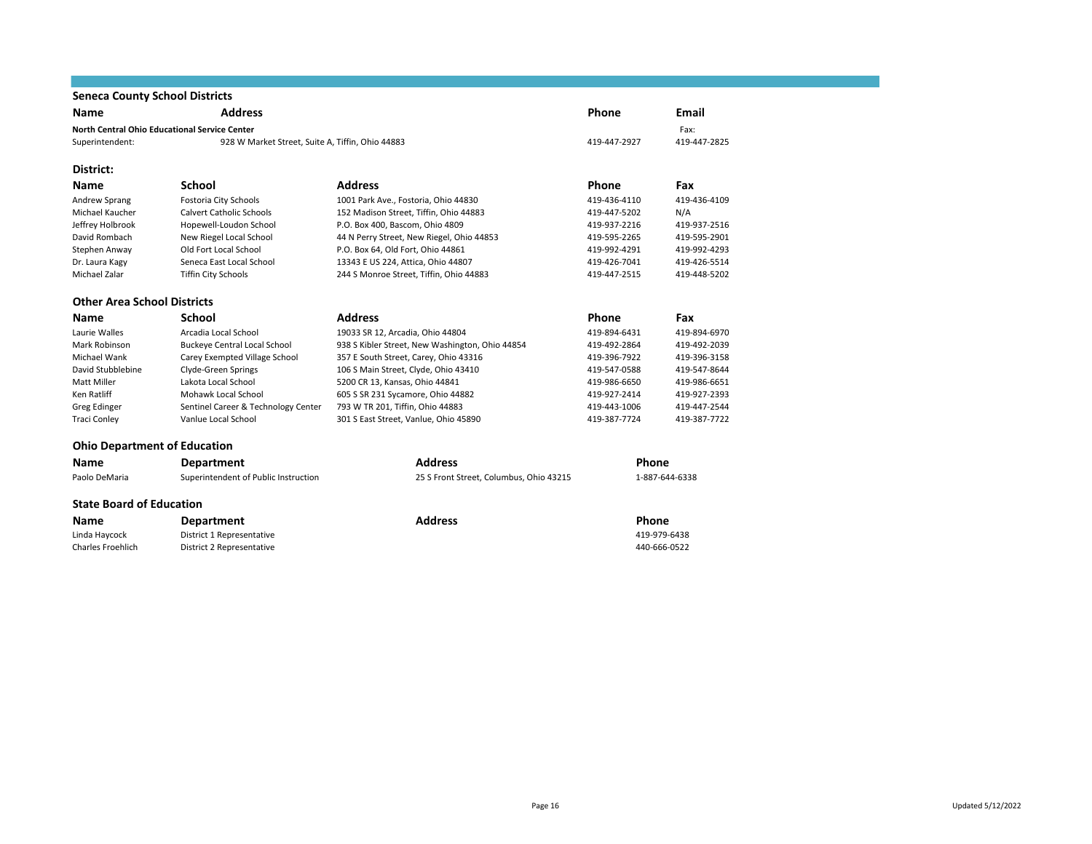## **Seneca County School Districts**

| <b>Name</b>                         | <b>Address</b>                                   |                                                 | <b>Phone</b> | Email          |
|-------------------------------------|--------------------------------------------------|-------------------------------------------------|--------------|----------------|
|                                     | North Central Ohio Educational Service Center    |                                                 |              | Fax:           |
| Superintendent:                     | 928 W Market Street, Suite A, Tiffin, Ohio 44883 |                                                 | 419-447-2927 | 419-447-2825   |
| District:                           |                                                  |                                                 |              |                |
| <b>Name</b>                         | School                                           | <b>Address</b>                                  | Phone        | Fax            |
| Andrew Sprang                       | Fostoria City Schools                            | 1001 Park Ave., Fostoria, Ohio 44830            | 419-436-4110 | 419-436-4109   |
| Michael Kaucher                     | Calvert Catholic Schools                         | 152 Madison Street, Tiffin, Ohio 44883          | 419-447-5202 | N/A            |
| Jeffrey Holbrook                    | Hopewell-Loudon School                           | P.O. Box 400, Bascom, Ohio 4809                 | 419-937-2216 | 419-937-2516   |
| David Rombach                       | New Riegel Local School                          | 44 N Perry Street, New Riegel, Ohio 44853       | 419-595-2265 | 419-595-2901   |
| Stephen Anway                       | Old Fort Local School                            | P.O. Box 64, Old Fort, Ohio 44861               | 419-992-4291 | 419-992-4293   |
| Dr. Laura Kagy                      | Seneca East Local School                         | 13343 E US 224, Attica, Ohio 44807              | 419-426-7041 | 419-426-5514   |
| Michael Zalar                       | <b>Tiffin City Schools</b>                       | 244 S Monroe Street, Tiffin, Ohio 44883         | 419-447-2515 | 419-448-5202   |
| <b>Other Area School Districts</b>  |                                                  |                                                 |              |                |
| <b>Name</b>                         | <b>School</b>                                    | <b>Address</b>                                  | <b>Phone</b> | Fax            |
| Laurie Walles                       | Arcadia Local School                             | 19033 SR 12, Arcadia, Ohio 44804                | 419-894-6431 | 419-894-6970   |
| Mark Robinson                       | <b>Buckeye Central Local School</b>              | 938 S Kibler Street, New Washington, Ohio 44854 | 419-492-2864 | 419-492-2039   |
| Michael Wank                        | Carey Exempted Village School                    | 357 E South Street, Carey, Ohio 43316           | 419-396-7922 | 419-396-3158   |
| David Stubblebine                   | Clyde-Green Springs                              | 106 S Main Street, Clyde, Ohio 43410            | 419-547-0588 | 419-547-8644   |
| Matt Miller                         | Lakota Local School                              | 5200 CR 13, Kansas, Ohio 44841                  | 419-986-6650 | 419-986-6651   |
| Ken Ratliff                         | Mohawk Local School                              | 605 S SR 231 Sycamore, Ohio 44882               | 419-927-2414 | 419-927-2393   |
| Greg Edinger                        | Sentinel Career & Technology Center              | 793 W TR 201, Tiffin, Ohio 44883                | 419-443-1006 | 419-447-2544   |
| <b>Traci Conley</b>                 | Vanlue Local School                              | 301 S East Street, Vanlue, Ohio 45890           | 419-387-7724 | 419-387-7722   |
| <b>Ohio Department of Education</b> |                                                  |                                                 |              |                |
| <b>Name</b>                         | Department                                       | <b>Address</b>                                  | Phone        |                |
| Paolo DeMaria                       | Superintendent of Public Instruction             | 25 S Front Street, Columbus, Ohio 43215         |              | 1-887-644-6338 |
| <b>State Board of Education</b>     |                                                  |                                                 |              |                |
| <b>Name</b>                         | <b>Department</b>                                | <b>Address</b>                                  | Phone        |                |
| Linda Haycock                       | District 1 Representative                        |                                                 |              | 419-979-6438   |
| <b>Charles Froehlich</b>            | District 2 Representative                        |                                                 |              | 440-666-0522   |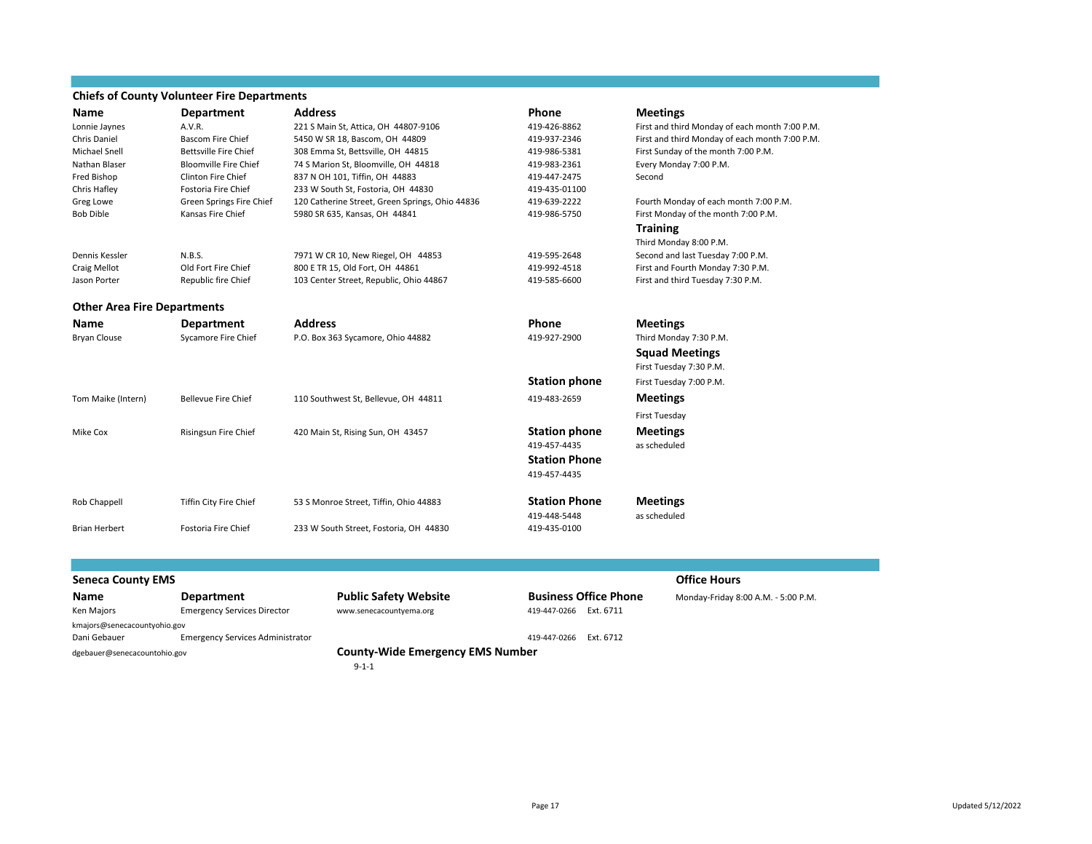### **Chiefs of County Volunteer Fire Departments**

| Name                               | <b>Department</b>            | <b>Address</b>                                  | Phone                        | <b>Meetings</b>                                |
|------------------------------------|------------------------------|-------------------------------------------------|------------------------------|------------------------------------------------|
| Lonnie Jaynes                      | A.V.R.                       | 221 S Main St, Attica, OH 44807-9106            | 419-426-8862                 | First and third Monday of each month 7:00 P.M. |
| Chris Daniel                       | <b>Bascom Fire Chief</b>     | 5450 W SR 18, Bascom, OH 44809                  | 419-937-2346                 | First and third Monday of each month 7:00 P.M. |
| <b>Michael Snell</b>               | <b>Bettsville Fire Chief</b> | 308 Emma St, Bettsville, OH 44815               | 419-986-5381                 | First Sunday of the month 7:00 P.M.            |
| Nathan Blaser                      | <b>Bloomville Fire Chief</b> | 74 S Marion St, Bloomville, OH 44818            | 419-983-2361                 | Every Monday 7:00 P.M.                         |
| Fred Bishop                        | <b>Clinton Fire Chief</b>    | 837 N OH 101, Tiffin, OH 44883                  | 419-447-2475                 | Second                                         |
| Chris Hafley                       | Fostoria Fire Chief          | 233 W South St, Fostoria, OH 44830              | 419-435-01100                |                                                |
| Greg Lowe                          | Green Springs Fire Chief     | 120 Catherine Street, Green Springs, Ohio 44836 | 419-639-2222                 | Fourth Monday of each month 7:00 P.M.          |
| <b>Bob Dible</b>                   | Kansas Fire Chief            | 5980 SR 635, Kansas, OH 44841                   | 419-986-5750                 | First Monday of the month 7:00 P.M.            |
|                                    |                              |                                                 |                              | <b>Training</b>                                |
|                                    |                              |                                                 |                              | Third Monday 8:00 P.M.                         |
| Dennis Kessler                     | N.B.S.                       | 7971 W CR 10, New Riegel, OH 44853              | 419-595-2648                 | Second and last Tuesday 7:00 P.M.              |
| <b>Craig Mellot</b>                | Old Fort Fire Chief          | 800 E TR 15, Old Fort, OH 44861                 | 419-992-4518                 | First and Fourth Monday 7:30 P.M.              |
| Jason Porter                       | Republic fire Chief          | 103 Center Street, Republic, Ohio 44867         | 419-585-6600                 | First and third Tuesday 7:30 P.M.              |
| <b>Other Area Fire Departments</b> |                              |                                                 |                              |                                                |
| Name                               | <b>Department</b>            | <b>Address</b>                                  | Phone                        | <b>Meetings</b>                                |
| <b>Bryan Clouse</b>                | Sycamore Fire Chief          | P.O. Box 363 Sycamore, Ohio 44882               | 419-927-2900                 | Third Monday 7:30 P.M.                         |
|                                    |                              |                                                 |                              | <b>Squad Meetings</b>                          |
|                                    |                              |                                                 |                              | First Tuesday 7:30 P.M.                        |
|                                    |                              |                                                 | <b>Station phone</b>         | First Tuesday 7:00 P.M.                        |
| Tom Maike (Intern)                 | <b>Bellevue Fire Chief</b>   | 110 Southwest St, Bellevue, OH 44811            | 419-483-2659                 | <b>Meetings</b>                                |
|                                    |                              |                                                 |                              | First Tuesday                                  |
| Mike Cox                           | Risingsun Fire Chief         | 420 Main St, Rising Sun, OH 43457               | <b>Station phone</b>         | <b>Meetings</b>                                |
|                                    |                              |                                                 | 419-457-4435                 | as scheduled                                   |
|                                    |                              |                                                 | <b>Station Phone</b>         |                                                |
|                                    |                              |                                                 | 419-457-4435                 |                                                |
|                                    |                              |                                                 | <b>Station Phone</b>         | <b>Meetings</b>                                |
| Rob Chappell                       | Tiffin City Fire Chief       | 53 S Monroe Street, Tiffin, Ohio 44883          |                              |                                                |
| <b>Brian Herbert</b>               | Fostoria Fire Chief          | 233 W South Street, Fostoria, OH 44830          | 419-448-5448<br>419-435-0100 | as scheduled                                   |
|                                    |                              |                                                 |                              |                                                |

### **Seneca County EMS Office Hours Office Hours Office Hours Name Department Public Safety Website Business Office Phone** Monday-Friday 8:00 A.M. - 5:00 P.M.<br> **Ren Majors Emergency Services Director** www.senecacountyema.org **119-447-0266** Ext. 6711 Ken Majors **Emergency Services Director** www.senecacountyema.org kmajors@senecacountyohio.gov Dani Gebauer Emergency Services Administrator 419-447-0266 Ext. 6712 dgebauer@senecacountohio.gov **County-Wide Emergency EMS Number** 9-1-1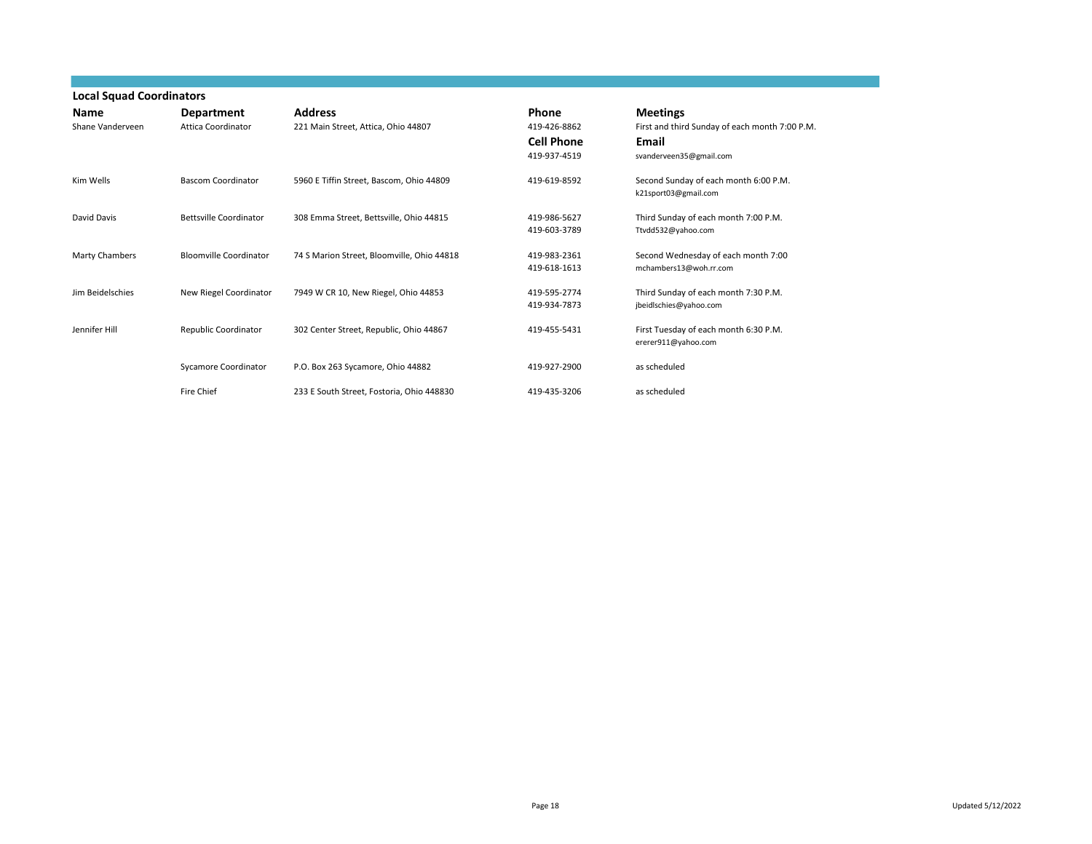| <b>Local Squad Coordinators</b> |                                         |                                                       |                                                            |                                                                                                       |
|---------------------------------|-----------------------------------------|-------------------------------------------------------|------------------------------------------------------------|-------------------------------------------------------------------------------------------------------|
| <b>Name</b><br>Shane Vanderveen | Department<br><b>Attica Coordinator</b> | <b>Address</b><br>221 Main Street, Attica, Ohio 44807 | Phone<br>419-426-8862<br><b>Cell Phone</b><br>419-937-4519 | <b>Meetings</b><br>First and third Sunday of each month 7:00 P.M.<br>Email<br>svanderveen35@gmail.com |
| Kim Wells                       | <b>Bascom Coordinator</b>               | 5960 E Tiffin Street, Bascom, Ohio 44809              | 419-619-8592                                               | Second Sunday of each month 6:00 P.M.<br>k21sport03@gmail.com                                         |
| David Davis                     | <b>Bettsville Coordinator</b>           | 308 Emma Street, Bettsville, Ohio 44815               | 419-986-5627<br>419-603-3789                               | Third Sunday of each month 7:00 P.M.<br>Ttvdd532@yahoo.com                                            |
| Marty Chambers                  | <b>Bloomville Coordinator</b>           | 74 S Marion Street, Bloomville, Ohio 44818            | 419-983-2361<br>419-618-1613                               | Second Wednesday of each month 7:00<br>mchambers13@woh.rr.com                                         |
| Jim Beidelschies                | New Riegel Coordinator                  | 7949 W CR 10, New Riegel, Ohio 44853                  | 419-595-2774<br>419-934-7873                               | Third Sunday of each month 7:30 P.M.<br>jbeidlschies@yahoo.com                                        |
| Jennifer Hill                   | Republic Coordinator                    | 302 Center Street, Republic, Ohio 44867               | 419-455-5431                                               | First Tuesday of each month 6:30 P.M.<br>ererer911@yahoo.com                                          |
|                                 | Sycamore Coordinator                    | P.O. Box 263 Sycamore, Ohio 44882                     | 419-927-2900                                               | as scheduled                                                                                          |
|                                 | Fire Chief                              | 233 E South Street, Fostoria, Ohio 448830             | 419-435-3206                                               | as scheduled                                                                                          |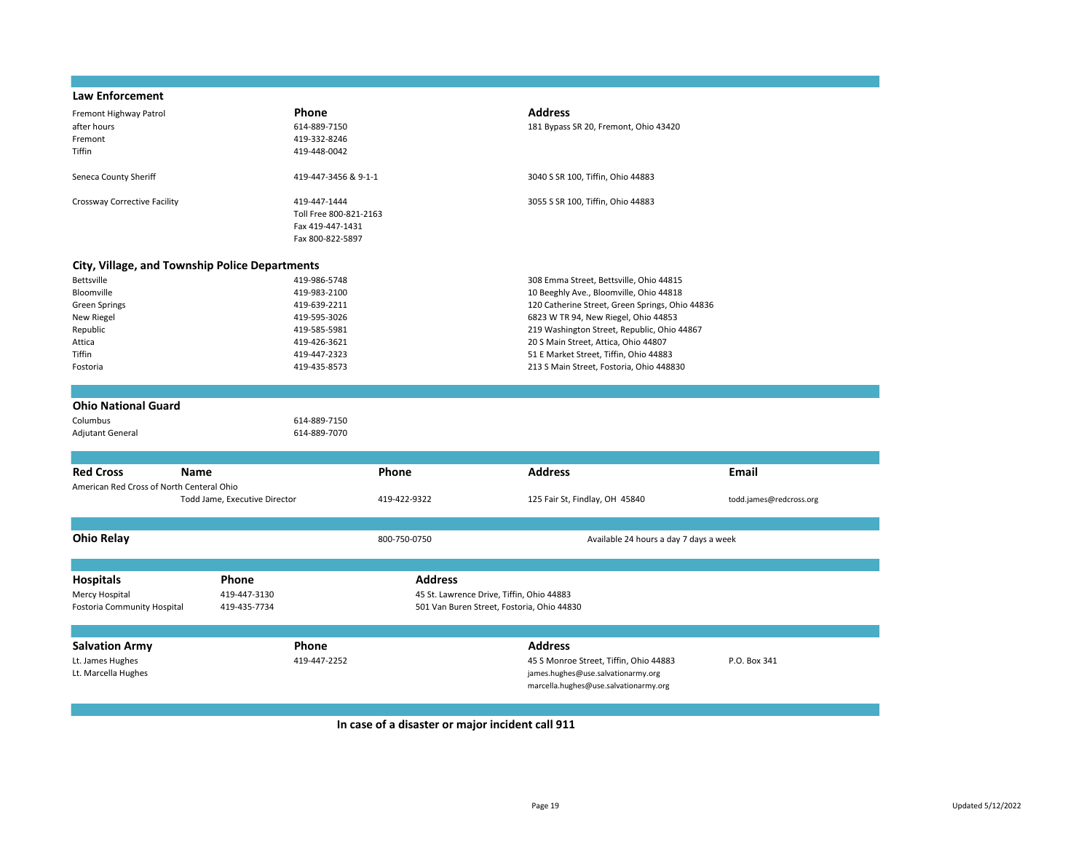### **Law Enforcement**

| Fremont Highway Patrol                         | <b>Phone</b>           | <b>Address</b>                                  |
|------------------------------------------------|------------------------|-------------------------------------------------|
| after hours                                    | 614-889-7150           | 181 Bypass SR 20, Fremont, Ohio 43420           |
| Fremont                                        | 419-332-8246           |                                                 |
| <b>Tiffin</b>                                  | 419-448-0042           |                                                 |
| Seneca County Sheriff                          | 419-447-3456 & 9-1-1   | 3040 S SR 100, Tiffin, Ohio 44883               |
|                                                |                        |                                                 |
| Crossway Corrective Facility                   | 419-447-1444           | 3055 S SR 100, Tiffin, Ohio 44883               |
|                                                | Toll Free 800-821-2163 |                                                 |
|                                                | Fax 419-447-1431       |                                                 |
|                                                | Fax 800-822-5897       |                                                 |
|                                                |                        |                                                 |
| City, Village, and Township Police Departments |                        |                                                 |
| <b>Bettsville</b>                              | 419-986-5748           | 308 Emma Street, Bettsville, Ohio 44815         |
| Bloomville                                     | 419-983-2100           | 10 Beeghly Ave., Bloomville, Ohio 44818         |
| Green Springs                                  | 419-639-2211           | 120 Catherine Street, Green Springs, Ohio 44836 |
| New Riegel                                     | 419-595-3026           | 6823 W TR 94, New Riegel, Ohio 44853            |
| Republic                                       | 419-585-5981           | 219 Washington Street, Republic, Ohio 44867     |
| Attica                                         | 419-426-3621           | 20 S Main Street, Attica, Ohio 44807            |
| <b>Tiffin</b>                                  | 419-447-2323           | 51 E Market Street, Tiffin, Ohio 44883          |
| Fostoria                                       | 419-435-8573           | 213 S Main Street, Fostoria, Ohio 448830        |
|                                                |                        |                                                 |
|                                                |                        |                                                 |
| <b>Ohio National Guard</b>                     |                        |                                                 |
| Columbus                                       | 614-889-7150           |                                                 |
| <b>Adjutant General</b>                        | 614-889-7070           |                                                 |

| <b>Red Cross</b>                                                  | Name                                         |                       | Phone                                                                                                     | <b>Address</b>                                                                                                                          | Email                   |
|-------------------------------------------------------------------|----------------------------------------------|-----------------------|-----------------------------------------------------------------------------------------------------------|-----------------------------------------------------------------------------------------------------------------------------------------|-------------------------|
| American Red Cross of North Centeral Ohio                         | Todd Jame, Executive Director                |                       | 419-422-9322                                                                                              | 125 Fair St, Findlay, OH 45840                                                                                                          | todd.james@redcross.org |
| <b>Ohio Relay</b>                                                 |                                              |                       | 800-750-0750                                                                                              | Available 24 hours a day 7 days a week                                                                                                  |                         |
| <b>Hospitals</b><br>Mercy Hospital<br>Fostoria Community Hospital | <b>Phone</b><br>419-447-3130<br>419-435-7734 |                       | <b>Address</b><br>45 St. Lawrence Drive, Tiffin, Ohio 44883<br>501 Van Buren Street, Fostoria, Ohio 44830 |                                                                                                                                         |                         |
|                                                                   |                                              |                       |                                                                                                           |                                                                                                                                         |                         |
| <b>Salvation Army</b><br>Lt. James Hughes<br>Lt. Marcella Hughes  |                                              | Phone<br>419-447-2252 |                                                                                                           | <b>Address</b><br>45 S Monroe Street, Tiffin, Ohio 44883<br>james.hughes@use.salvationarmy.org<br>marcella.hughes@use.salvationarmy.org | P.O. Box 341            |

**In case of a disaster or major incident call 911**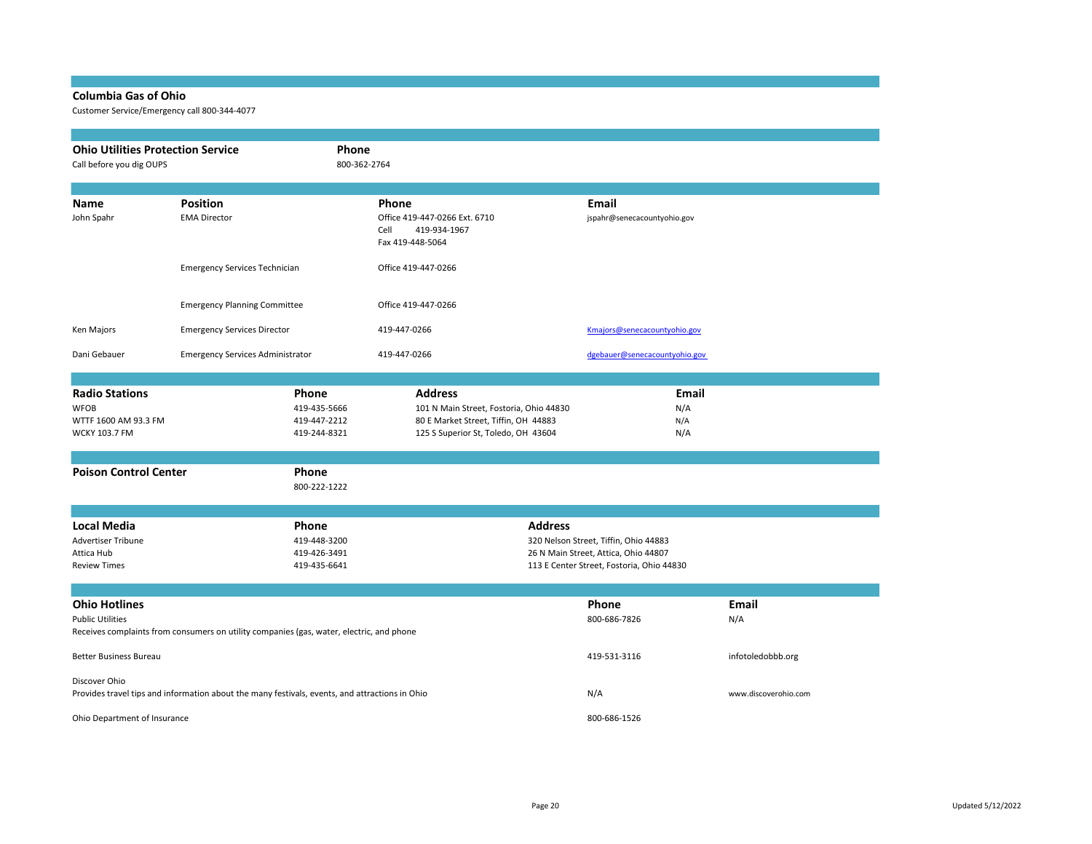### **Columbia Gas of Ohio**

Customer Service/Emergency call 800-344-4077

| <b>Ohio Utilities Protection Service</b><br>Phone<br>Call before you dig OUPS                                                               |                                         |                                                                                | 800-362-2764                                                                                                                             |                                                                                                                            |                      |
|---------------------------------------------------------------------------------------------------------------------------------------------|-----------------------------------------|--------------------------------------------------------------------------------|------------------------------------------------------------------------------------------------------------------------------------------|----------------------------------------------------------------------------------------------------------------------------|----------------------|
| Name<br>John Spahr                                                                                                                          | <b>Position</b><br><b>EMA Director</b>  |                                                                                | Phone<br>Office 419-447-0266 Ext. 6710<br>419-934-1967<br>Cell<br>Fax 419-448-5064                                                       | Email<br>jspahr@senecacountyohio.gov                                                                                       |                      |
|                                                                                                                                             | <b>Emergency Services Technician</b>    |                                                                                | Office 419-447-0266                                                                                                                      |                                                                                                                            |                      |
|                                                                                                                                             | <b>Emergency Planning Committee</b>     |                                                                                | Office 419-447-0266                                                                                                                      |                                                                                                                            |                      |
| Ken Majors                                                                                                                                  | <b>Emergency Services Director</b>      |                                                                                | 419-447-0266                                                                                                                             | Kmajors@senecacountyohio.gov                                                                                               |                      |
| Dani Gebauer                                                                                                                                | <b>Emergency Services Administrator</b> |                                                                                | 419-447-0266                                                                                                                             | dgebauer@senecacountyohio.gov                                                                                              |                      |
| <b>Radio Stations</b><br><b>WFOB</b><br>WTTF 1600 AM 93.3 FM<br><b>WCKY 103.7 FM</b><br><b>Poison Control Center</b>                        |                                         | Phone<br>419-435-5666<br>419-447-2212<br>419-244-8321<br>Phone<br>800-222-1222 | <b>Address</b><br>101 N Main Street, Fostoria, Ohio 44830<br>80 E Market Street, Tiffin, OH 44883<br>125 S Superior St, Toledo, OH 43604 | <b>Email</b><br>N/A<br>N/A<br>N/A                                                                                          |                      |
| <b>Local Media</b><br><b>Advertiser Tribune</b><br>Attica Hub<br><b>Review Times</b>                                                        |                                         | Phone<br>419-448-3200<br>419-426-3491<br>419-435-6641                          | <b>Address</b>                                                                                                                           | 320 Nelson Street, Tiffin, Ohio 44883<br>26 N Main Street, Attica, Ohio 44807<br>113 E Center Street, Fostoria, Ohio 44830 |                      |
| <b>Ohio Hotlines</b><br><b>Public Utilities</b><br>Receives complaints from consumers on utility companies (gas, water, electric, and phone |                                         |                                                                                |                                                                                                                                          | Phone<br>800-686-7826                                                                                                      | <b>Email</b><br>N/A  |
| <b>Better Business Bureau</b>                                                                                                               |                                         |                                                                                |                                                                                                                                          | 419-531-3116                                                                                                               | infotoledobbb.org    |
| Discover Ohio<br>Provides travel tips and information about the many festivals, events, and attractions in Ohio                             |                                         |                                                                                |                                                                                                                                          | N/A                                                                                                                        | www.discoverohio.com |
| Ohio Department of Insurance                                                                                                                |                                         |                                                                                |                                                                                                                                          | 800-686-1526                                                                                                               |                      |